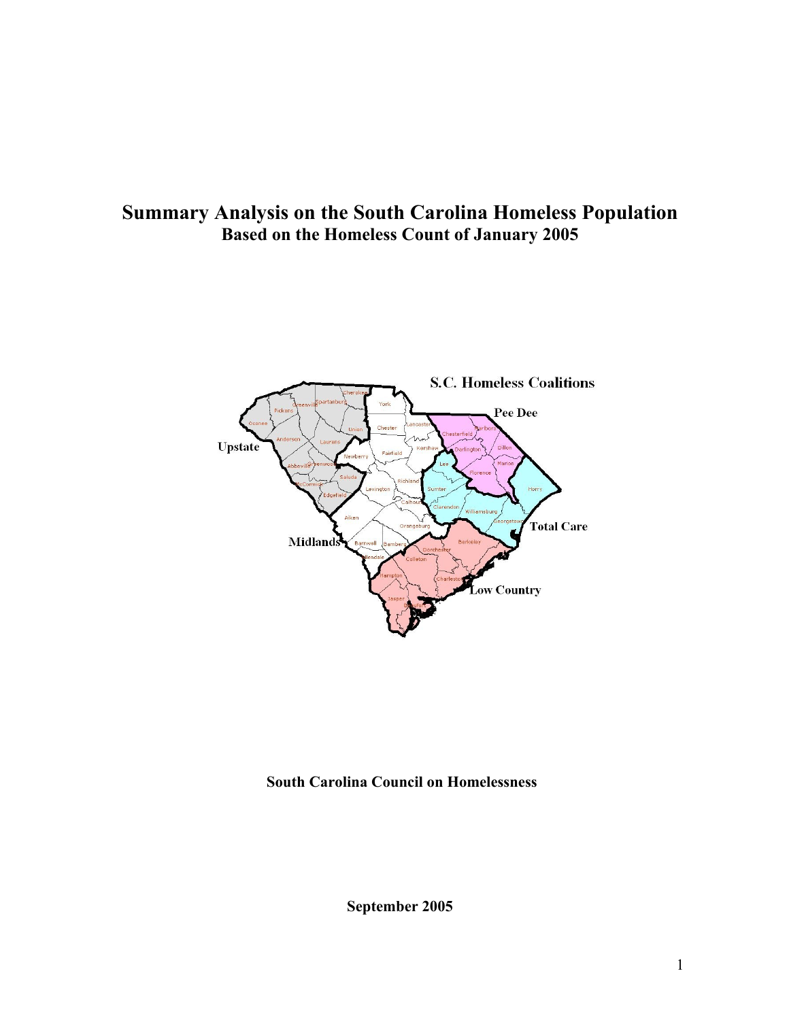## **Summary Analysis on the South Carolina Homeless Population Based on the Homeless Count of January 2005**



## **South Carolina Council on Homelessness**

**September 2005**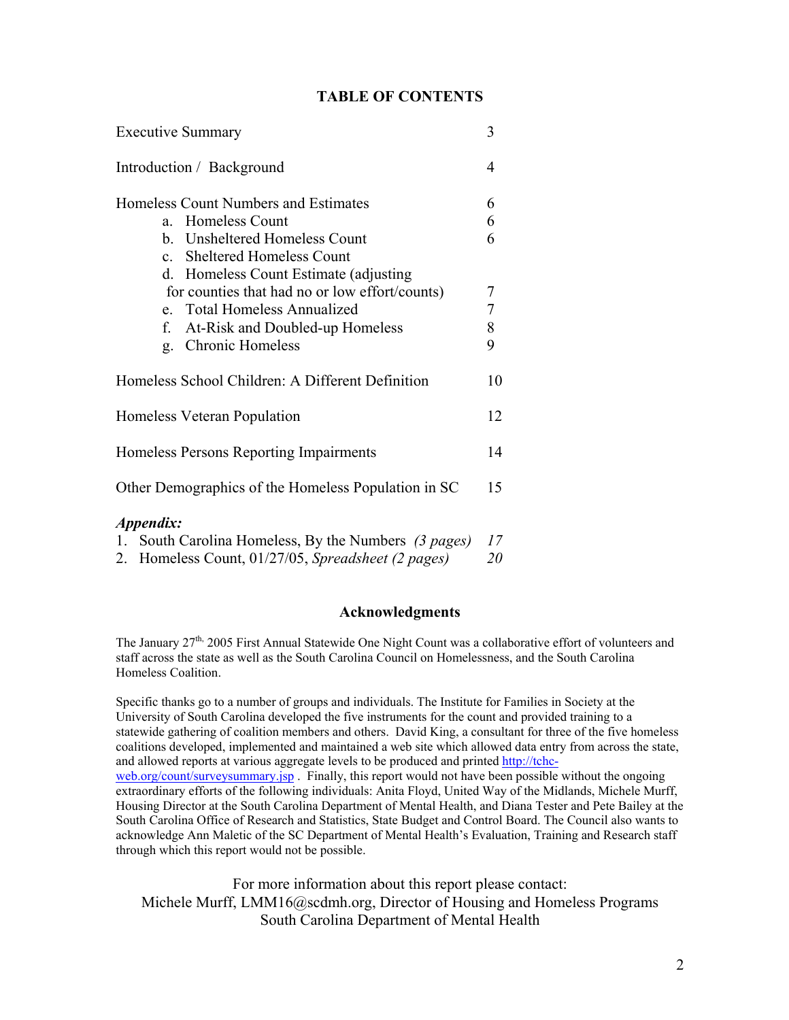#### **TABLE OF CONTENTS**

| <b>Executive Summary</b>                                                                                                                                                                        | 3                               |
|-------------------------------------------------------------------------------------------------------------------------------------------------------------------------------------------------|---------------------------------|
| Introduction / Background                                                                                                                                                                       | 4                               |
| Homeless Count Numbers and Estimates<br>a. Homeless Count<br>b. Unsheltered Homeless Count<br><b>Sheltered Homeless Count</b><br>$c_{\perp}$                                                    | 6<br>6<br>6                     |
| d. Homeless Count Estimate (adjusting)<br>for counties that had no or low effort/counts)<br>e. Total Homeless Annualized<br>f. At-Risk and Doubled-up Homeless<br><b>Chronic Homeless</b><br>g. | 7<br>$\boldsymbol{7}$<br>8<br>9 |
| Homeless School Children: A Different Definition                                                                                                                                                | 10                              |
| Homeless Veteran Population                                                                                                                                                                     | 12                              |
| Homeless Persons Reporting Impairments                                                                                                                                                          | 14                              |
| Other Demographics of the Homeless Population in SC                                                                                                                                             | 15                              |
| Appendix:<br>1. South Carolina Homeless, By the Numbers (3 pages)<br>2. Homeless Count, 01/27/05, Spreadsheet (2 pages)                                                                         | 17<br>20                        |

#### **Acknowledgments**

The January 27<sup>th,</sup> 2005 First Annual Statewide One Night Count was a collaborative effort of volunteers and staff across the state as well as the South Carolina Council on Homelessness, and the South Carolina Homeless Coalition.

Specific thanks go to a number of groups and individuals. The Institute for Families in Society at the University of South Carolina developed the five instruments for the count and provided training to a statewide gathering of coalition members and others. David King, a consultant for three of the five homeless coalitions developed, implemented and maintained a web site which allowed data entry from across the state, and allowed reports at various aggregate levels to be produced and printed http://tchcweb.org/count/surveysummary.jsp. Finally, this report would not have been possible without the ongoing extraordinary efforts of the following individuals: Anita Floyd, United Way of the Midlands, Michele Murff, Housing Director at the South Carolina Department of Mental Health, and Diana Tester and Pete Bailey at the South Carolina Office of Research and Statistics, State Budget and Control Board. The Council also wants to acknowledge Ann Maletic of the SC Department of Mental Health's Evaluation, Training and Research staff through which this report would not be possible.

For more information about this report please contact: Michele Murff, LMM16@scdmh.org, Director of Housing and Homeless Programs South Carolina Department of Mental Health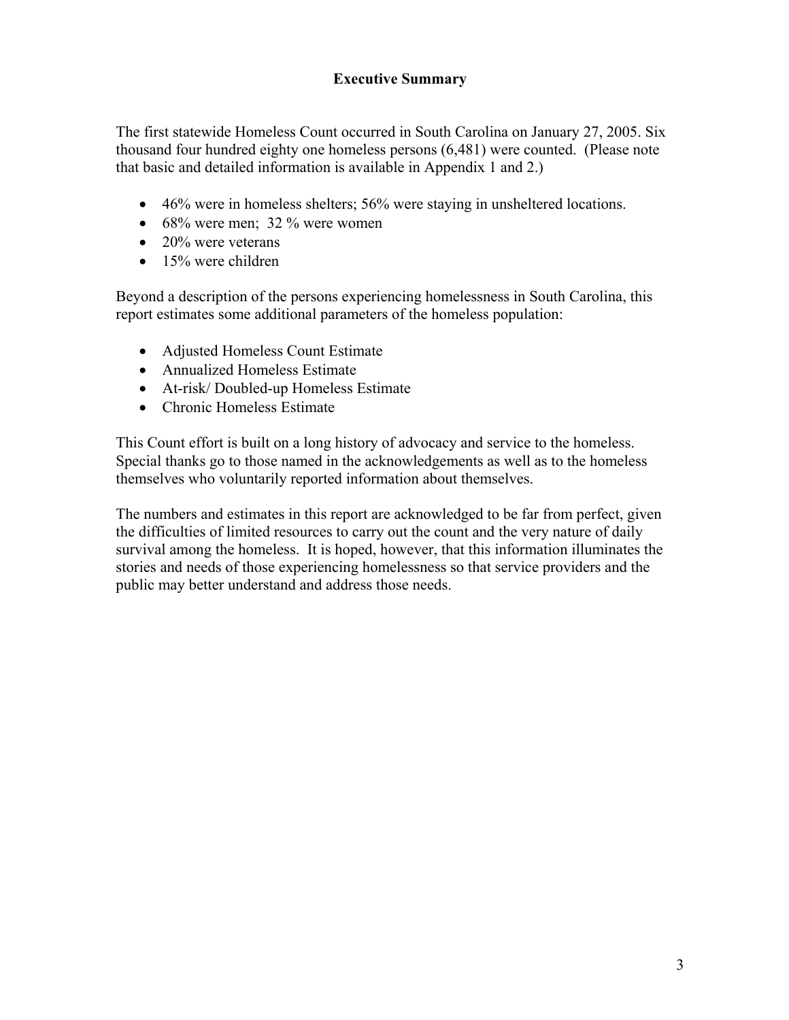### **Executive Summary**

The first statewide Homeless Count occurred in South Carolina on January 27, 2005. Six thousand four hundred eighty one homeless persons (6,481) were counted. (Please note that basic and detailed information is available in Appendix 1 and 2.)

- 46% were in homeless shelters; 56% were staying in unsheltered locations.
- $68\%$  were men; 32 % were women
- 20% were veterans
- $\bullet$  15% were children

Beyond a description of the persons experiencing homelessness in South Carolina, this report estimates some additional parameters of the homeless population:

- Adjusted Homeless Count Estimate
- Annualized Homeless Estimate
- At-risk/ Doubled-up Homeless Estimate
- Chronic Homeless Estimate

This Count effort is built on a long history of advocacy and service to the homeless. Special thanks go to those named in the acknowledgements as well as to the homeless themselves who voluntarily reported information about themselves.

The numbers and estimates in this report are acknowledged to be far from perfect, given the difficulties of limited resources to carry out the count and the very nature of daily survival among the homeless. It is hoped, however, that this information illuminates the stories and needs of those experiencing homelessness so that service providers and the public may better understand and address those needs.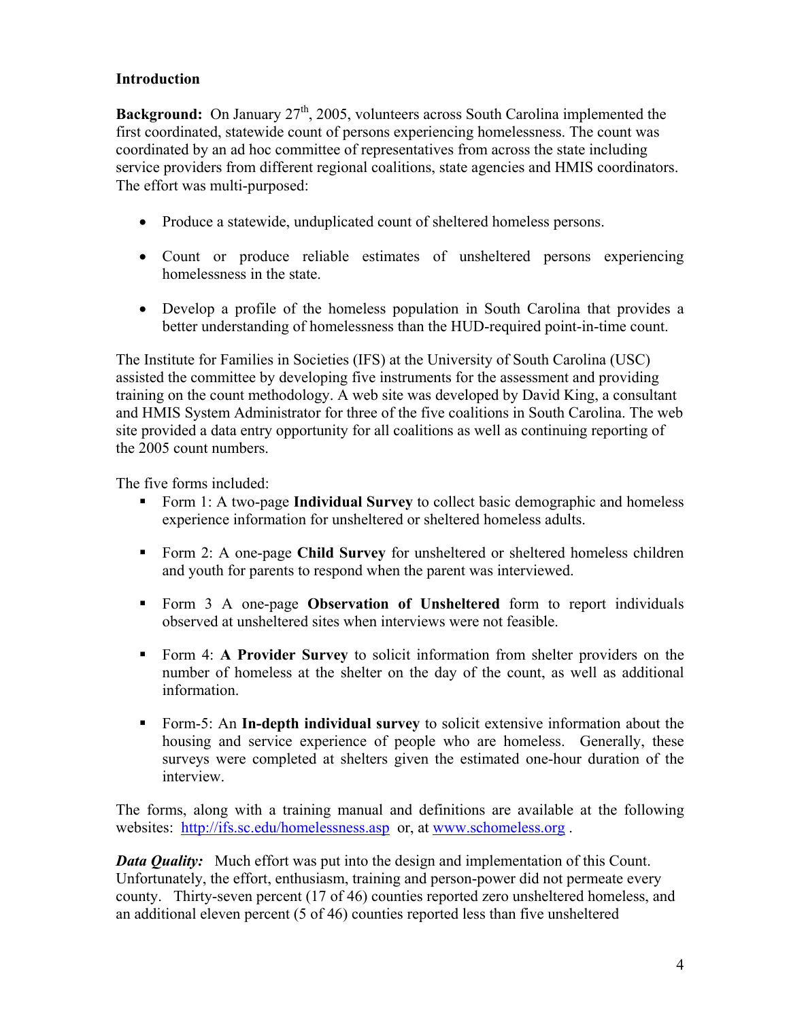### **Introduction**

**Background:** On January 27<sup>th</sup>, 2005, volunteers across South Carolina implemented the first coordinated, statewide count of persons experiencing homelessness. The count was coordinated by an ad hoc committee of representatives from across the state including service providers from different regional coalitions, state agencies and HMIS coordinators. The effort was multi-purposed:

- Produce a statewide, unduplicated count of sheltered homeless persons.
- Count or produce reliable estimates of unsheltered persons experiencing homelessness in the state.
- Develop a profile of the homeless population in South Carolina that provides a better understanding of homelessness than the HUD-required point-in-time count.

The Institute for Families in Societies (IFS) at the University of South Carolina (USC) assisted the committee by developing five instruments for the assessment and providing training on the count methodology. A web site was developed by David King, a consultant and HMIS System Administrator for three of the five coalitions in South Carolina. The web site provided a data entry opportunity for all coalitions as well as continuing reporting of the 2005 count numbers.

The five forms included:

- Form 1: A two-page **Individual Survey** to collect basic demographic and homeless experience information for unsheltered or sheltered homeless adults.
- Form 2: A one-page **Child Survey** for unsheltered or sheltered homeless children and youth for parents to respond when the parent was interviewed.
- Form 3 A one-page **Observation of Unsheltered** form to report individuals observed at unsheltered sites when interviews were not feasible.
- Form 4: **A Provider Survey** to solicit information from shelter providers on the number of homeless at the shelter on the day of the count, as well as additional information.
- Form-5: An **In-depth individual survey** to solicit extensive information about the housing and service experience of people who are homeless. Generally, these surveys were completed at shelters given the estimated one-hour duration of the interview.

The forms, along with a training manual and definitions are available at the following websites: http://ifs.sc.edu/homelessness.asp or, at www.schomeless.org.

*Data Quality:* Much effort was put into the design and implementation of this Count. Unfortunately, the effort, enthusiasm, training and person-power did not permeate every county. Thirty-seven percent (17 of 46) counties reported zero unsheltered homeless, and an additional eleven percent (5 of 46) counties reported less than five unsheltered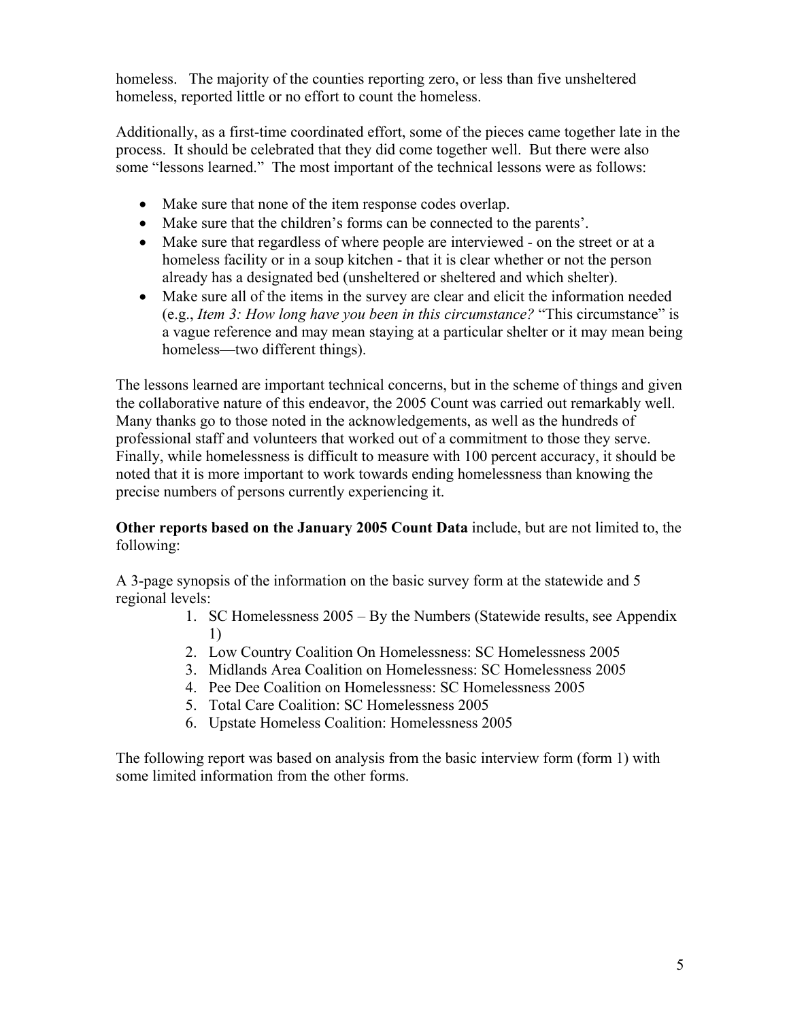homeless. The majority of the counties reporting zero, or less than five unsheltered homeless, reported little or no effort to count the homeless.

Additionally, as a first-time coordinated effort, some of the pieces came together late in the process. It should be celebrated that they did come together well. But there were also some "lessons learned." The most important of the technical lessons were as follows:

- Make sure that none of the item response codes overlap.
- Make sure that the children's forms can be connected to the parents'.
- Make sure that regardless of where people are interviewed on the street or at a homeless facility or in a soup kitchen - that it is clear whether or not the person already has a designated bed (unsheltered or sheltered and which shelter).
- Make sure all of the items in the survey are clear and elicit the information needed (e.g., *Item 3: How long have you been in this circumstance?* "This circumstance" is a vague reference and may mean staying at a particular shelter or it may mean being homeless—two different things).

The lessons learned are important technical concerns, but in the scheme of things and given the collaborative nature of this endeavor, the 2005 Count was carried out remarkably well. Many thanks go to those noted in the acknowledgements, as well as the hundreds of professional staff and volunteers that worked out of a commitment to those they serve. Finally, while homelessness is difficult to measure with 100 percent accuracy, it should be noted that it is more important to work towards ending homelessness than knowing the precise numbers of persons currently experiencing it.

### **Other reports based on the January 2005 Count Data** include, but are not limited to, the following:

A 3-page synopsis of the information on the basic survey form at the statewide and 5 regional levels:

- 1. SC Homelessness 2005 By the Numbers (Statewide results, see Appendix 1)
- 2. Low Country Coalition On Homelessness: SC Homelessness 2005
- 3. Midlands Area Coalition on Homelessness: SC Homelessness 2005
- 4. Pee Dee Coalition on Homelessness: SC Homelessness 2005
- 5. Total Care Coalition: SC Homelessness 2005
- 6. Upstate Homeless Coalition: Homelessness 2005

The following report was based on analysis from the basic interview form (form 1) with some limited information from the other forms.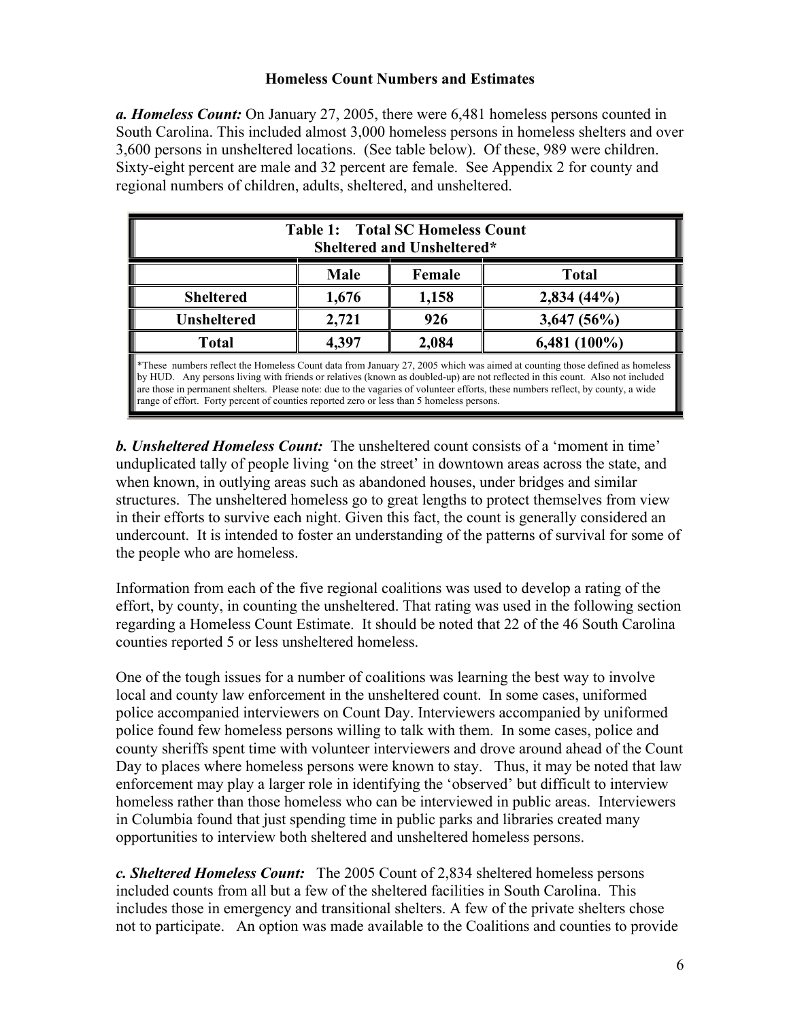### **Homeless Count Numbers and Estimates**

*a. Homeless Count:* On January 27, 2005, there were 6,481 homeless persons counted in South Carolina. This included almost 3,000 homeless persons in homeless shelters and over 3,600 persons in unsheltered locations. (See table below). Of these, 989 were children. Sixty-eight percent are male and 32 percent are female. See Appendix 2 for county and regional numbers of children, adults, sheltered, and unsheltered.

| <b>Table 1: Total SC Homeless Count</b><br>Sheltered and Unsheltered*                                                                                                                                                                                                                                                                                                                                                                                                                        |                                  |        |              |  |
|----------------------------------------------------------------------------------------------------------------------------------------------------------------------------------------------------------------------------------------------------------------------------------------------------------------------------------------------------------------------------------------------------------------------------------------------------------------------------------------------|----------------------------------|--------|--------------|--|
|                                                                                                                                                                                                                                                                                                                                                                                                                                                                                              | Male                             | Female | <b>Total</b> |  |
| 1,158<br>$2,834(44\%)$<br><b>Sheltered</b><br>1,676                                                                                                                                                                                                                                                                                                                                                                                                                                          |                                  |        |              |  |
| <b>Unsheltered</b>                                                                                                                                                                                                                                                                                                                                                                                                                                                                           | 2,721<br>926<br>3,647(56%)       |        |              |  |
| <b>Total</b>                                                                                                                                                                                                                                                                                                                                                                                                                                                                                 | 2,084<br>$6,481(100\%)$<br>4,397 |        |              |  |
| *These numbers reflect the Homeless Count data from January 27, 2005 which was aimed at counting those defined as homeless<br>by HUD. Any persons living with friends or relatives (known as doubled-up) are not reflected in this count. Also not included<br>are those in permanent shelters. Please note: due to the vagaries of volunteer efforts, these numbers reflect, by county, a wide<br>range of effort. Forty percent of counties reported zero or less than 5 homeless persons. |                                  |        |              |  |

*b. Unsheltered Homeless Count:* The unsheltered count consists of a 'moment in time' unduplicated tally of people living 'on the street' in downtown areas across the state, and when known, in outlying areas such as abandoned houses, under bridges and similar structures. The unsheltered homeless go to great lengths to protect themselves from view in their efforts to survive each night. Given this fact, the count is generally considered an undercount. It is intended to foster an understanding of the patterns of survival for some of the people who are homeless.

Information from each of the five regional coalitions was used to develop a rating of the effort, by county, in counting the unsheltered. That rating was used in the following section regarding a Homeless Count Estimate. It should be noted that 22 of the 46 South Carolina counties reported 5 or less unsheltered homeless.

One of the tough issues for a number of coalitions was learning the best way to involve local and county law enforcement in the unsheltered count. In some cases, uniformed police accompanied interviewers on Count Day. Interviewers accompanied by uniformed police found few homeless persons willing to talk with them. In some cases, police and county sheriffs spent time with volunteer interviewers and drove around ahead of the Count Day to places where homeless persons were known to stay. Thus, it may be noted that law enforcement may play a larger role in identifying the 'observed' but difficult to interview homeless rather than those homeless who can be interviewed in public areas. Interviewers in Columbia found that just spending time in public parks and libraries created many opportunities to interview both sheltered and unsheltered homeless persons.

*c. Sheltered Homeless Count:* The 2005 Count of 2,834 sheltered homeless persons included counts from all but a few of the sheltered facilities in South Carolina. This includes those in emergency and transitional shelters. A few of the private shelters chose not to participate. An option was made available to the Coalitions and counties to provide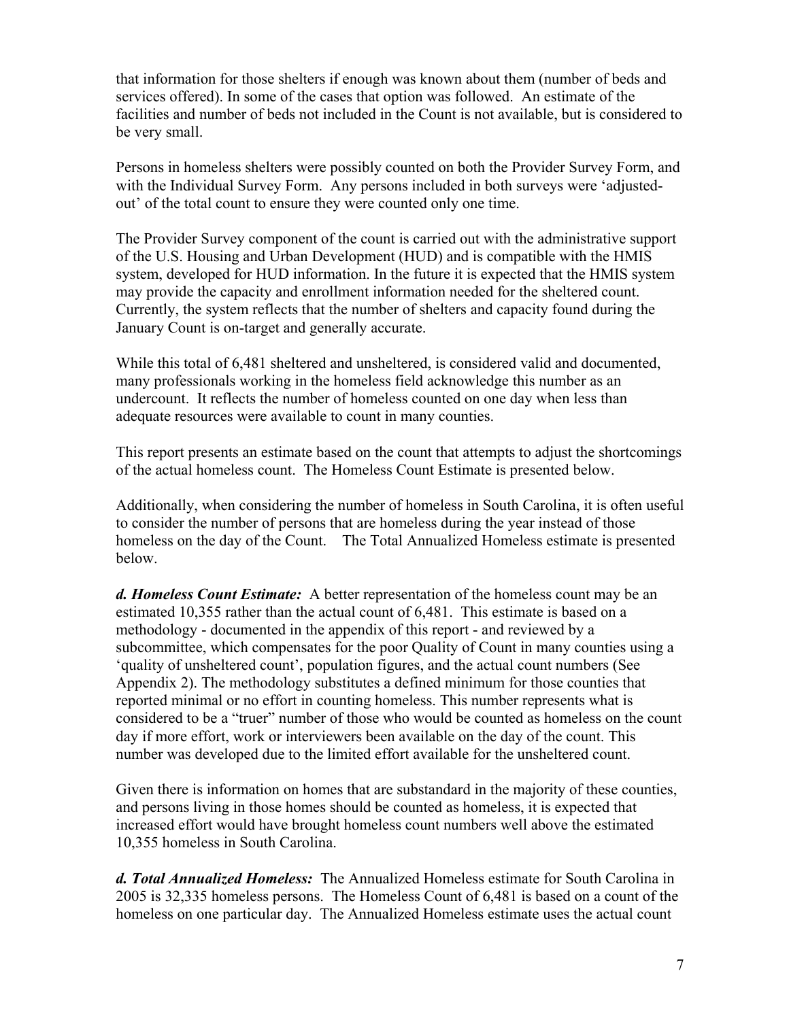that information for those shelters if enough was known about them (number of beds and services offered). In some of the cases that option was followed. An estimate of the facilities and number of beds not included in the Count is not available, but is considered to be very small.

Persons in homeless shelters were possibly counted on both the Provider Survey Form, and with the Individual Survey Form. Any persons included in both surveys were 'adjustedout' of the total count to ensure they were counted only one time.

The Provider Survey component of the count is carried out with the administrative support of the U.S. Housing and Urban Development (HUD) and is compatible with the HMIS system, developed for HUD information. In the future it is expected that the HMIS system may provide the capacity and enrollment information needed for the sheltered count. Currently, the system reflects that the number of shelters and capacity found during the January Count is on-target and generally accurate.

While this total of 6,481 sheltered and unsheltered, is considered valid and documented, many professionals working in the homeless field acknowledge this number as an undercount. It reflects the number of homeless counted on one day when less than adequate resources were available to count in many counties.

This report presents an estimate based on the count that attempts to adjust the shortcomings of the actual homeless count. The Homeless Count Estimate is presented below.

Additionally, when considering the number of homeless in South Carolina, it is often useful to consider the number of persons that are homeless during the year instead of those homeless on the day of the Count. The Total Annualized Homeless estimate is presented below.

*d. Homeless Count Estimate:* A better representation of the homeless count may be an estimated 10,355 rather than the actual count of 6,481. This estimate is based on a methodology - documented in the appendix of this report - and reviewed by a subcommittee, which compensates for the poor Quality of Count in many counties using a 'quality of unsheltered count', population figures, and the actual count numbers (See Appendix 2). The methodology substitutes a defined minimum for those counties that reported minimal or no effort in counting homeless. This number represents what is considered to be a "truer" number of those who would be counted as homeless on the count day if more effort, work or interviewers been available on the day of the count. This number was developed due to the limited effort available for the unsheltered count.

Given there is information on homes that are substandard in the majority of these counties, and persons living in those homes should be counted as homeless, it is expected that increased effort would have brought homeless count numbers well above the estimated 10,355 homeless in South Carolina.

*d. Total Annualized Homeless:* The Annualized Homeless estimate for South Carolina in 2005 is 32,335 homeless persons. The Homeless Count of 6,481 is based on a count of the homeless on one particular day. The Annualized Homeless estimate uses the actual count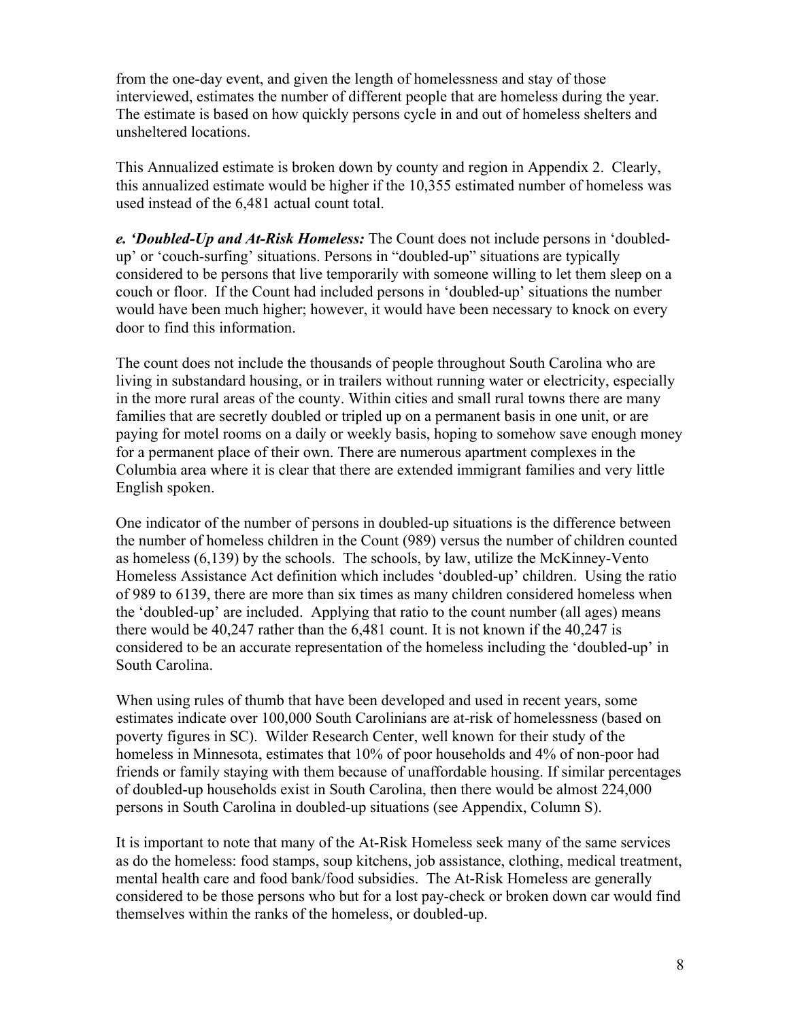from the one-day event, and given the length of homelessness and stay of those interviewed, estimates the number of different people that are homeless during the year. The estimate is based on how quickly persons cycle in and out of homeless shelters and unsheltered locations.

This Annualized estimate is broken down by county and region in Appendix 2. Clearly, this annualized estimate would be higher if the 10,355 estimated number of homeless was used instead of the 6,481 actual count total.

*e. 'Doubled-Up and At-Risk Homeless:* The Count does not include persons in 'doubledup' or 'couch-surfing' situations. Persons in "doubled-up" situations are typically considered to be persons that live temporarily with someone willing to let them sleep on a couch or floor. If the Count had included persons in 'doubled-up' situations the number would have been much higher; however, it would have been necessary to knock on every door to find this information.

The count does not include the thousands of people throughout South Carolina who are living in substandard housing, or in trailers without running water or electricity, especially in the more rural areas of the county. Within cities and small rural towns there are many families that are secretly doubled or tripled up on a permanent basis in one unit, or are paying for motel rooms on a daily or weekly basis, hoping to somehow save enough money for a permanent place of their own. There are numerous apartment complexes in the Columbia area where it is clear that there are extended immigrant families and very little English spoken.

One indicator of the number of persons in doubled-up situations is the difference between the number of homeless children in the Count (989) versus the number of children counted as homeless (6,139) by the schools. The schools, by law, utilize the McKinney-Vento Homeless Assistance Act definition which includes 'doubled-up' children. Using the ratio of 989 to 6139, there are more than six times as many children considered homeless when the 'doubled-up' are included. Applying that ratio to the count number (all ages) means there would be 40,247 rather than the 6,481 count. It is not known if the 40,247 is considered to be an accurate representation of the homeless including the 'doubled-up' in South Carolina.

When using rules of thumb that have been developed and used in recent years, some estimates indicate over 100,000 South Carolinians are at-risk of homelessness (based on poverty figures in SC). Wilder Research Center, well known for their study of the homeless in Minnesota, estimates that 10% of poor households and 4% of non-poor had friends or family staying with them because of unaffordable housing. If similar percentages of doubled-up households exist in South Carolina, then there would be almost 224,000 persons in South Carolina in doubled-up situations (see Appendix, Column S).

It is important to note that many of the At-Risk Homeless seek many of the same services as do the homeless: food stamps, soup kitchens, job assistance, clothing, medical treatment, mental health care and food bank/food subsidies. The At-Risk Homeless are generally considered to be those persons who but for a lost pay-check or broken down car would find themselves within the ranks of the homeless, or doubled-up.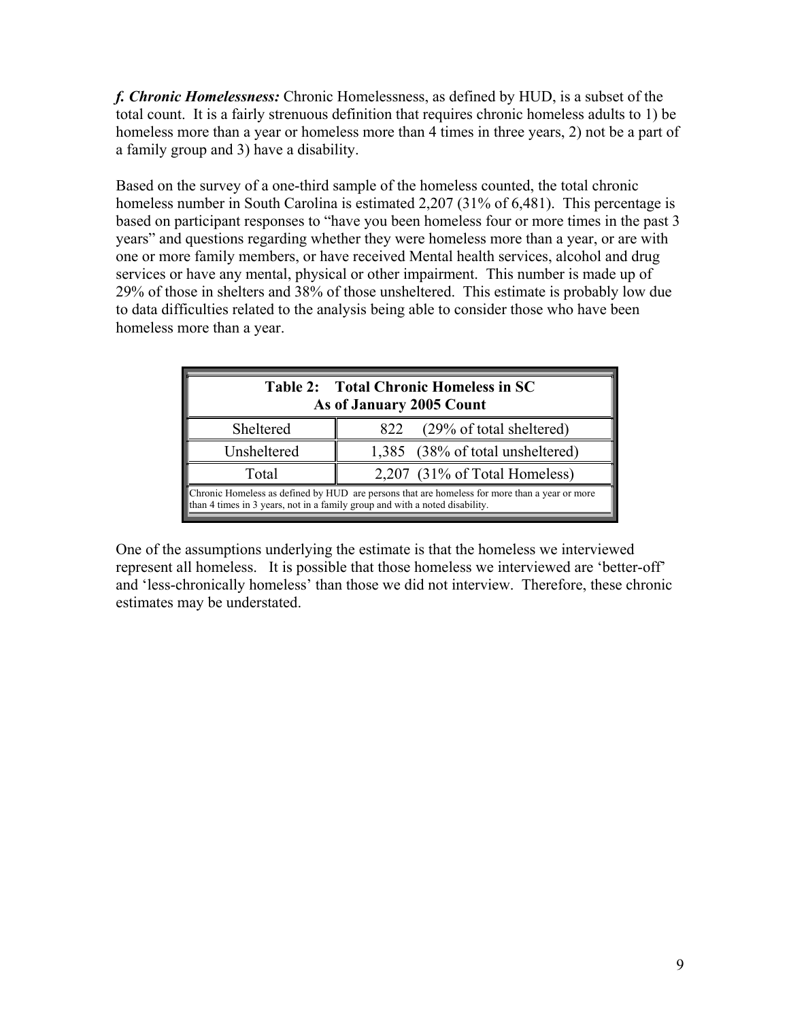*f. Chronic Homelessness:* Chronic Homelessness, as defined by HUD, is a subset of the total count. It is a fairly strenuous definition that requires chronic homeless adults to 1) be homeless more than a year or homeless more than 4 times in three years, 2) not be a part of a family group and 3) have a disability.

Based on the survey of a one-third sample of the homeless counted, the total chronic homeless number in South Carolina is estimated 2,207 (31% of 6,481). This percentage is based on participant responses to "have you been homeless four or more times in the past 3 years" and questions regarding whether they were homeless more than a year, or are with one or more family members, or have received Mental health services, alcohol and drug services or have any mental, physical or other impairment. This number is made up of 29% of those in shelters and 38% of those unsheltered. This estimate is probably low due to data difficulties related to the analysis being able to consider those who have been homeless more than a year.

| Table 2: Total Chronic Homeless in SC<br>As of January 2005 Count                                                                                                            |                                  |  |  |
|------------------------------------------------------------------------------------------------------------------------------------------------------------------------------|----------------------------------|--|--|
| Sheltered                                                                                                                                                                    | (29% of total sheltered)<br>822  |  |  |
| Unsheltered                                                                                                                                                                  | 1,385 (38% of total unsheltered) |  |  |
| Total                                                                                                                                                                        | 2,207 (31% of Total Homeless)    |  |  |
| Chronic Homeless as defined by HUD are persons that are homeless for more than a year or more<br>than 4 times in 3 years, not in a family group and with a noted disability. |                                  |  |  |

One of the assumptions underlying the estimate is that the homeless we interviewed represent all homeless. It is possible that those homeless we interviewed are 'better-off' and 'less-chronically homeless' than those we did not interview. Therefore, these chronic estimates may be understated.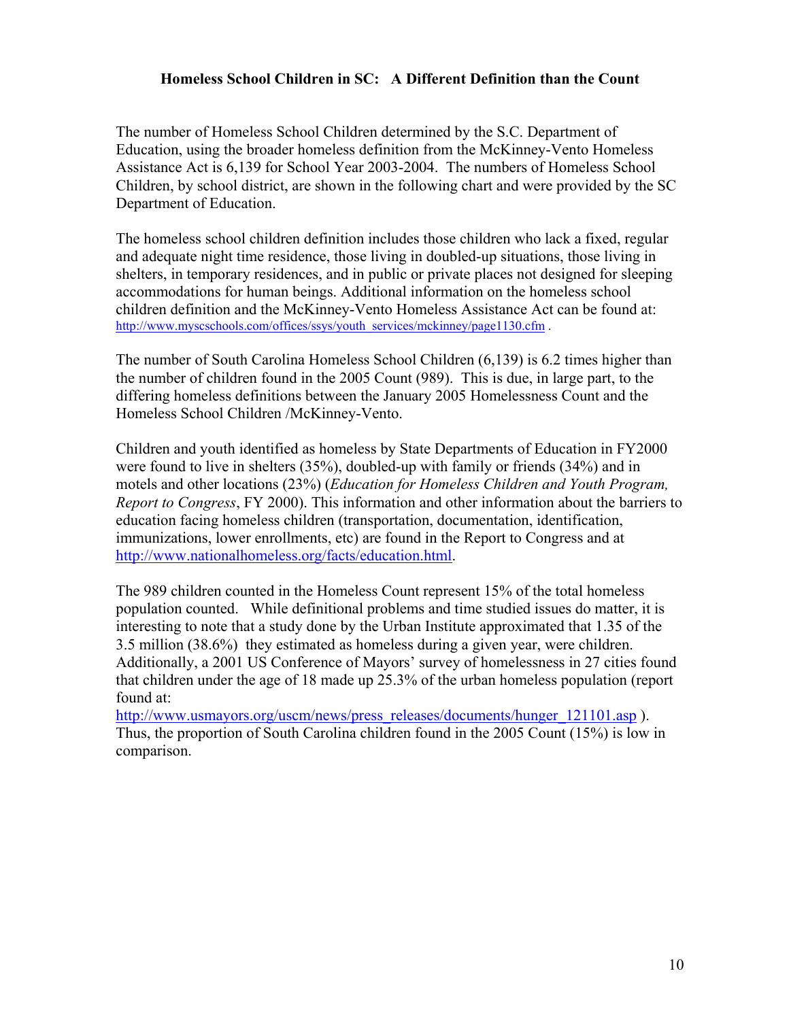### **Homeless School Children in SC: A Different Definition than the Count**

The number of Homeless School Children determined by the S.C. Department of Education, using the broader homeless definition from the McKinney-Vento Homeless Assistance Act is 6,139 for School Year 2003-2004. The numbers of Homeless School Children, by school district, are shown in the following chart and were provided by the SC Department of Education.

The homeless school children definition includes those children who lack a fixed, regular and adequate night time residence, those living in doubled-up situations, those living in shelters, in temporary residences, and in public or private places not designed for sleeping accommodations for human beings. Additional information on the homeless school children definition and the McKinney-Vento Homeless Assistance Act can be found at: http://www.myscschools.com/offices/ssys/youth\_services/mckinney/page1130.cfm .

The number of South Carolina Homeless School Children (6,139) is 6.2 times higher than the number of children found in the 2005 Count (989). This is due, in large part, to the differing homeless definitions between the January 2005 Homelessness Count and the Homeless School Children /McKinney-Vento.

Children and youth identified as homeless by State Departments of Education in FY2000 were found to live in shelters (35%), doubled-up with family or friends (34%) and in motels and other locations (23%) (*Education for Homeless Children and Youth Program, Report to Congress*, FY 2000). This information and other information about the barriers to education facing homeless children (transportation, documentation, identification, immunizations, lower enrollments, etc) are found in the Report to Congress and at http://www.nationalhomeless.org/facts/education.html.

The 989 children counted in the Homeless Count represent 15% of the total homeless population counted. While definitional problems and time studied issues do matter, it is interesting to note that a study done by the Urban Institute approximated that 1.35 of the 3.5 million (38.6%) they estimated as homeless during a given year, were children. Additionally, a 2001 US Conference of Mayors' survey of homelessness in 27 cities found that children under the age of 18 made up 25.3% of the urban homeless population (report found at:

http://www.usmayors.org/uscm/news/press\_releases/documents/hunger\_121101.asp ). Thus, the proportion of South Carolina children found in the 2005 Count (15%) is low in comparison.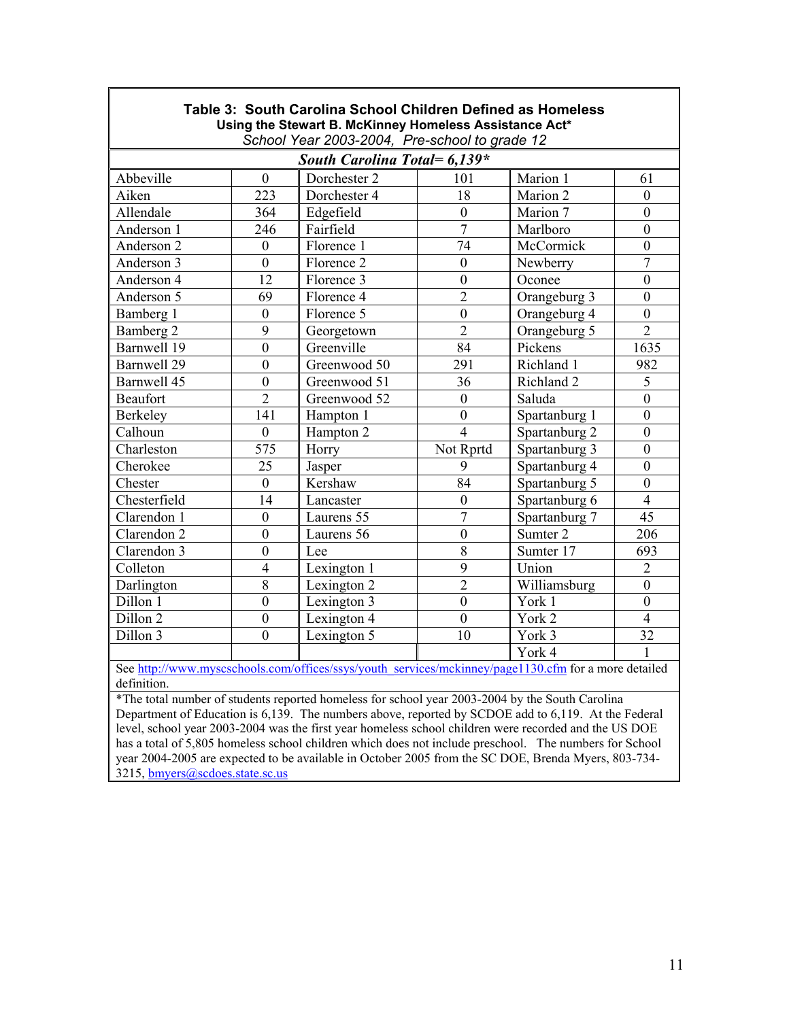| Table 3: South Carolina School Children Defined as Homeless<br>Using the Stewart B. McKinney Homeless Assistance Act* |                  |                                               |                  |               |                  |
|-----------------------------------------------------------------------------------------------------------------------|------------------|-----------------------------------------------|------------------|---------------|------------------|
|                                                                                                                       |                  | School Year 2003-2004, Pre-school to grade 12 |                  |               |                  |
|                                                                                                                       |                  | South Carolina Total= 6,139*                  |                  |               |                  |
| Abbeville                                                                                                             | $\mathbf{0}$     | Dorchester 2                                  | 101              | Marion 1      | 61               |
| Aiken                                                                                                                 | 223              | Dorchester 4                                  | 18               | Marion 2      | $\boldsymbol{0}$ |
| Allendale                                                                                                             | 364              | Edgefield                                     | $\boldsymbol{0}$ | Marion 7      | $\boldsymbol{0}$ |
| Anderson 1                                                                                                            | 246              | Fairfield                                     | $\overline{7}$   | Marlboro      | $\mathbf{0}$     |
| Anderson 2                                                                                                            | $\boldsymbol{0}$ | Florence 1                                    | 74               | McCormick     | $\boldsymbol{0}$ |
| Anderson 3                                                                                                            | $\boldsymbol{0}$ | Florence 2                                    | $\boldsymbol{0}$ | Newberry      | $\boldsymbol{7}$ |
| Anderson 4                                                                                                            | 12               | Florence 3                                    | $\boldsymbol{0}$ | Oconee        | $\boldsymbol{0}$ |
| Anderson 5                                                                                                            | 69               | Florence 4                                    | $\overline{2}$   | Orangeburg 3  | $\boldsymbol{0}$ |
| Bamberg 1                                                                                                             | $\boldsymbol{0}$ | Florence 5                                    | $\boldsymbol{0}$ | Orangeburg 4  | $\mathbf{0}$     |
| Bamberg 2                                                                                                             | 9                | Georgetown                                    | $\overline{2}$   | Orangeburg 5  | $\overline{2}$   |
| Barnwell 19                                                                                                           | $\boldsymbol{0}$ | Greenville                                    | 84               | Pickens       | 1635             |
| Barnwell 29                                                                                                           | $\boldsymbol{0}$ | Greenwood 50                                  | 291              | Richland 1    | 982              |
| Barnwell 45                                                                                                           | $\boldsymbol{0}$ | Greenwood 51                                  | 36               | Richland 2    | 5                |
| <b>Beaufort</b>                                                                                                       | $\overline{2}$   | Greenwood 52                                  | $\mathbf{0}$     | Saluda        | $\boldsymbol{0}$ |
| Berkeley                                                                                                              | 141              | Hampton 1                                     | $\mathbf{0}$     | Spartanburg 1 | $\mathbf{0}$     |
| Calhoun                                                                                                               | $\boldsymbol{0}$ | Hampton 2                                     | $\overline{4}$   | Spartanburg 2 | $\mathbf{0}$     |
| Charleston                                                                                                            | 575              | Horry                                         | Not Rprtd        | Spartanburg 3 | $\boldsymbol{0}$ |
| Cherokee                                                                                                              | 25               | Jasper                                        | 9                | Spartanburg 4 | $\boldsymbol{0}$ |
| Chester                                                                                                               | $\boldsymbol{0}$ | Kershaw                                       | 84               | Spartanburg 5 | $\boldsymbol{0}$ |
| Chesterfield                                                                                                          | 14               | Lancaster                                     | $\overline{0}$   | Spartanburg 6 | $\overline{4}$   |
| Clarendon 1                                                                                                           | $\mathbf{0}$     | Laurens 55                                    | $\overline{7}$   | Spartanburg 7 | $\overline{45}$  |
| Clarendon 2                                                                                                           | $\boldsymbol{0}$ | Laurens 56                                    | $\boldsymbol{0}$ | Sumter 2      | 206              |
| Clarendon 3                                                                                                           | $\mathbf{0}$     | Lee                                           | 8                | Sumter 17     | 693              |
| Colleton                                                                                                              | $\overline{4}$   | Lexington 1                                   | 9                | Union         | $\overline{2}$   |
| Darlington                                                                                                            | 8                | Lexington 2                                   | $\overline{2}$   | Williamsburg  | $\mathbf{0}$     |
| Dillon 1                                                                                                              | $\mathbf{0}$     | Lexington 3                                   | $\overline{0}$   | York 1        | $\mathbf{0}$     |
| Dillon <sub>2</sub>                                                                                                   | $\boldsymbol{0}$ | Lexington 4                                   | $\mathbf{0}$     | York 2        | $\overline{4}$   |
| Dillon 3                                                                                                              | $\boldsymbol{0}$ | Lexington 5                                   | 10               | York 3        | 32               |
|                                                                                                                       |                  |                                               |                  | York 4        | 1                |
| See http://www.myscschools.com/offices/ssys/youth_services/mckinney/page1130.cfm for a more detailed                  |                  |                                               |                  |               |                  |

definition.

 $\Gamma$ 

\*The total number of students reported homeless for school year 2003-2004 by the South Carolina Department of Education is 6,139. The numbers above, reported by SCDOE add to 6,119. At the Federal level, school year 2003-2004 was the first year homeless school children were recorded and the US DOE has a total of 5,805 homeless school children which does not include preschool. The numbers for School year 2004-2005 are expected to be available in October 2005 from the SC DOE, Brenda Myers, 803-734- 3215, bmyers@scdoes.state.sc.us

ו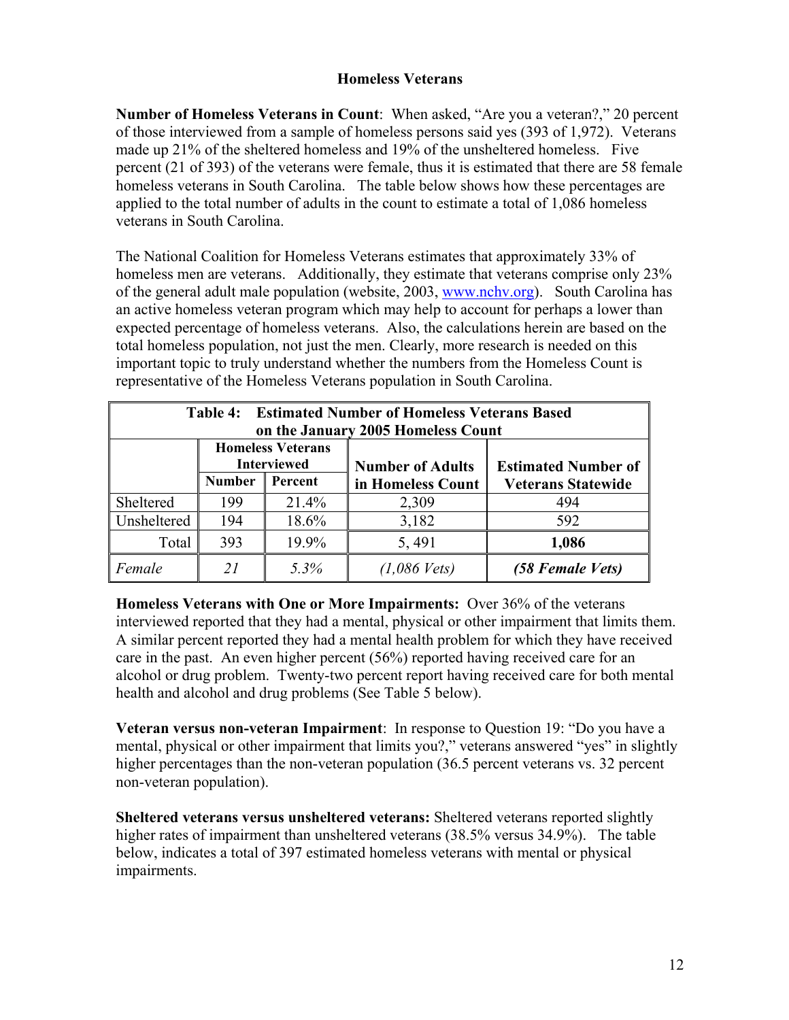### **Homeless Veterans**

**Number of Homeless Veterans in Count**: When asked, "Are you a veteran?," 20 percent of those interviewed from a sample of homeless persons said yes (393 of 1,972). Veterans made up 21% of the sheltered homeless and 19% of the unsheltered homeless. Five percent (21 of 393) of the veterans were female, thus it is estimated that there are 58 female homeless veterans in South Carolina. The table below shows how these percentages are applied to the total number of adults in the count to estimate a total of 1,086 homeless veterans in South Carolina.

The National Coalition for Homeless Veterans estimates that approximately 33% of homeless men are veterans. Additionally, they estimate that veterans comprise only 23% of the general adult male population (website, 2003, www.nchv.org). South Carolina has an active homeless veteran program which may help to account for perhaps a lower than expected percentage of homeless veterans. Also, the calculations herein are based on the total homeless population, not just the men. Clearly, more research is needed on this important topic to truly understand whether the numbers from the Homeless Count is representative of the Homeless Veterans population in South Carolina.

| <b>Table 4: Estimated Number of Homeless Veterans Based</b><br>on the January 2005 Homeless Count       |               |         |                   |                           |
|---------------------------------------------------------------------------------------------------------|---------------|---------|-------------------|---------------------------|
| <b>Homeless Veterans</b><br><b>Interviewed</b><br><b>Number of Adults</b><br><b>Estimated Number of</b> |               |         |                   |                           |
|                                                                                                         | <b>Number</b> | Percent | in Homeless Count | <b>Veterans Statewide</b> |
| Sheltered                                                                                               | 199           | 21.4%   | 2,309             | 494                       |
| Unsheltered                                                                                             | 194           | 18.6%   | 3,182             | 592                       |
| Total                                                                                                   | 393           | 19.9%   | 5,491             | 1,086                     |
| Female                                                                                                  | 21            | 5.3%    | $(1,086$ Vets)    | (58 Female Vets)          |

**Homeless Veterans with One or More Impairments:** Over 36% of the veterans interviewed reported that they had a mental, physical or other impairment that limits them. A similar percent reported they had a mental health problem for which they have received care in the past. An even higher percent (56%) reported having received care for an alcohol or drug problem. Twenty-two percent report having received care for both mental health and alcohol and drug problems (See Table 5 below).

**Veteran versus non-veteran Impairment**: In response to Question 19: "Do you have a mental, physical or other impairment that limits you?," veterans answered "yes" in slightly higher percentages than the non-veteran population (36.5 percent veterans vs. 32 percent non-veteran population).

**Sheltered veterans versus unsheltered veterans:** Sheltered veterans reported slightly higher rates of impairment than unsheltered veterans (38.5% versus 34.9%). The table below, indicates a total of 397 estimated homeless veterans with mental or physical impairments.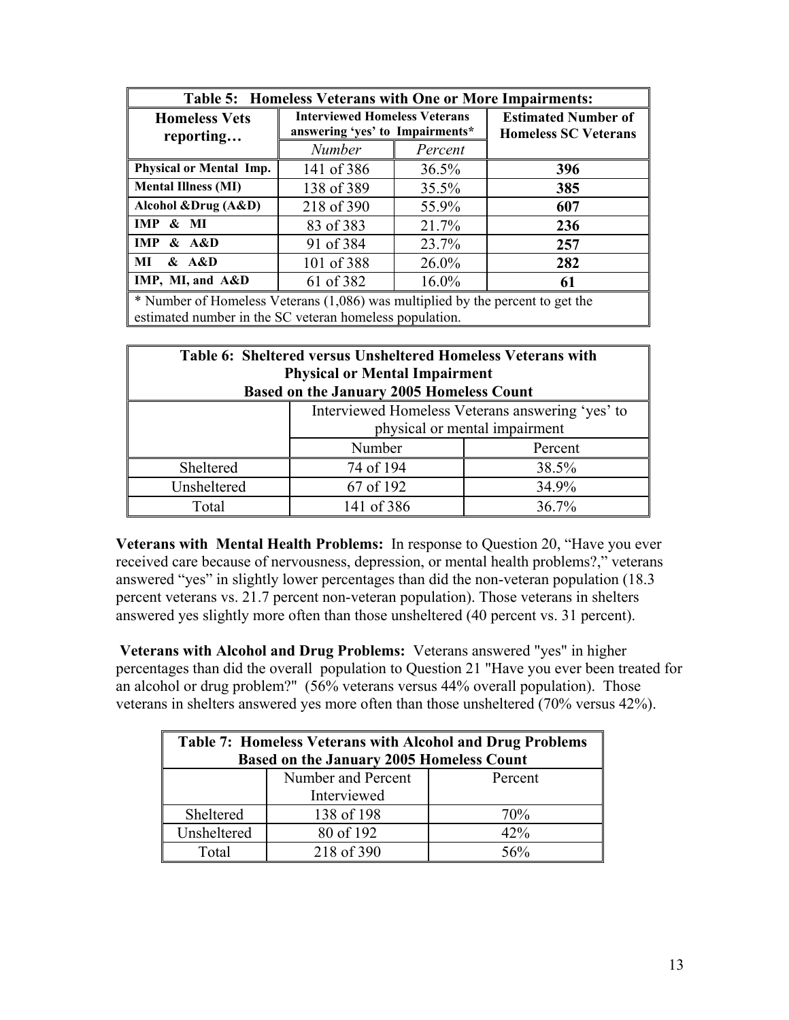| <b>Table 5: Homeless Veterans with One or More Impairments:</b>                                                                           |                                                                         |          |                                                           |  |
|-------------------------------------------------------------------------------------------------------------------------------------------|-------------------------------------------------------------------------|----------|-----------------------------------------------------------|--|
| <b>Homeless Vets</b><br>reporting                                                                                                         | <b>Interviewed Homeless Veterans</b><br>answering 'yes' to Impairments* |          | <b>Estimated Number of</b><br><b>Homeless SC Veterans</b> |  |
|                                                                                                                                           | <b>Number</b>                                                           | Percent  |                                                           |  |
| Physical or Mental Imp.                                                                                                                   | 141 of 386                                                              | 36.5%    | 396                                                       |  |
| <b>Mental Illness (MI)</b>                                                                                                                | 138 of 389                                                              | 35.5%    | 385                                                       |  |
| Alcohol &Drug (A&D)                                                                                                                       | 218 of 390                                                              | 55.9%    | 607                                                       |  |
| <b>IMP</b><br>$\&$ MI                                                                                                                     | 83 of 383                                                               | 21.7%    | 236                                                       |  |
| <b>IMP</b><br>&A&D                                                                                                                        | 91 of 384                                                               | 23.7%    | 257                                                       |  |
| MI<br>&A&D                                                                                                                                | 101 of 388                                                              | $26.0\%$ | 282                                                       |  |
| IMP, MI, and A&D                                                                                                                          | 61 of 382                                                               | $16.0\%$ | 61                                                        |  |
| * Number of Homeless Veterans (1,086) was multiplied by the percent to get the<br>estimated number in the SC veteran homeless population. |                                                                         |          |                                                           |  |

| Table 6: Sheltered versus Unsheltered Homeless Veterans with<br><b>Physical or Mental Impairment</b><br><b>Based on the January 2005 Homeless Count</b> |                    |       |  |  |
|---------------------------------------------------------------------------------------------------------------------------------------------------------|--------------------|-------|--|--|
| Interviewed Homeless Veterans answering 'yes' to<br>physical or mental impairment                                                                       |                    |       |  |  |
|                                                                                                                                                         | Number<br>Percent  |       |  |  |
| Sheltered                                                                                                                                               | 74 of 194          | 38.5% |  |  |
| Unsheltered                                                                                                                                             | 67 of 192<br>34.9% |       |  |  |
| Total                                                                                                                                                   | 141 of 386         | 36.7% |  |  |

**Veterans with Mental Health Problems:** In response to Question 20, "Have you ever received care because of nervousness, depression, or mental health problems?," veterans answered "yes" in slightly lower percentages than did the non-veteran population (18.3 percent veterans vs. 21.7 percent non-veteran population). Those veterans in shelters answered yes slightly more often than those unsheltered (40 percent vs. 31 percent).

**Veterans with Alcohol and Drug Problems:** Veterans answered "yes" in higher percentages than did the overall population to Question 21 "Have you ever been treated for an alcohol or drug problem?" (56% veterans versus 44% overall population). Those veterans in shelters answered yes more often than those unsheltered (70% versus 42%).

| <b>Table 7: Homeless Veterans with Alcohol and Drug Problems</b><br><b>Based on the January 2005 Homeless Count</b> |                    |         |  |
|---------------------------------------------------------------------------------------------------------------------|--------------------|---------|--|
|                                                                                                                     |                    |         |  |
|                                                                                                                     | Number and Percent | Percent |  |
| Interviewed                                                                                                         |                    |         |  |
| Sheltered                                                                                                           | 138 of 198         | 70%     |  |
| Unsheltered                                                                                                         | 80 of 192          | 42%     |  |
| Total                                                                                                               | 218 of 390         | 56%     |  |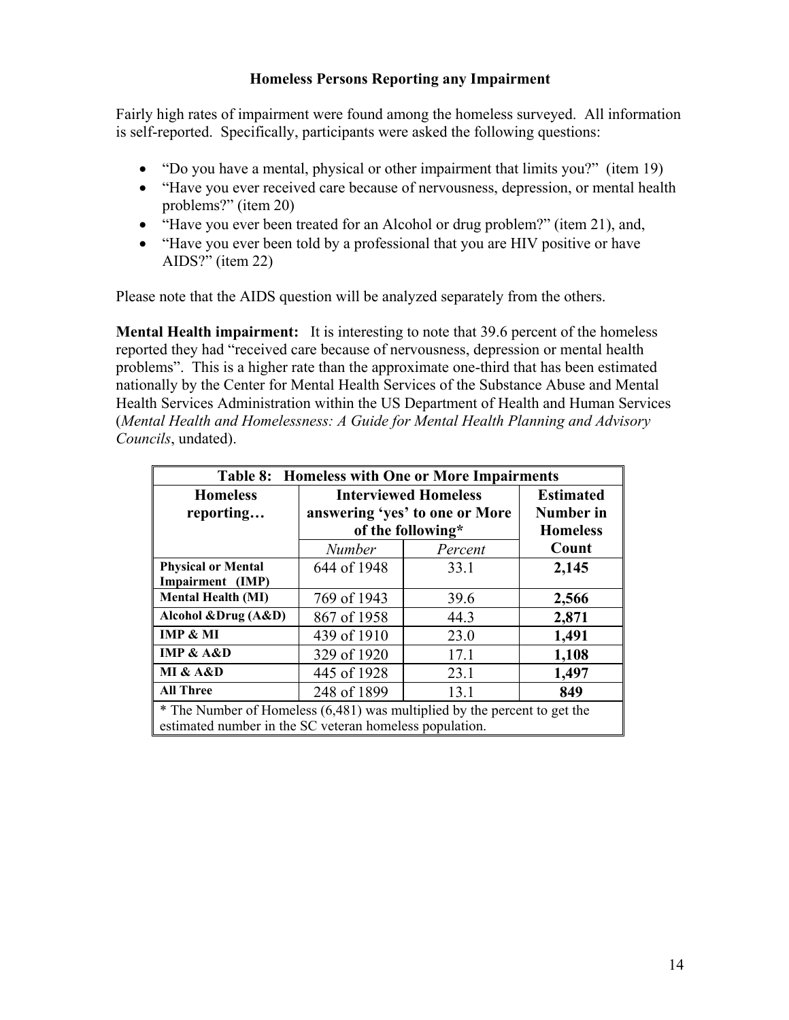### **Homeless Persons Reporting any Impairment**

Fairly high rates of impairment were found among the homeless surveyed. All information is self-reported. Specifically, participants were asked the following questions:

- "Do you have a mental, physical or other impairment that limits you?" (item 19)
- "Have you ever received care because of nervousness, depression, or mental health problems?" (item 20)
- "Have you ever been treated for an Alcohol or drug problem?" (item 21), and,
- "Have you ever been told by a professional that you are HIV positive or have AIDS?" (item 22)

Please note that the AIDS question will be analyzed separately from the others.

**Mental Health impairment:** It is interesting to note that 39.6 percent of the homeless reported they had "received care because of nervousness, depression or mental health problems". This is a higher rate than the approximate one-third that has been estimated nationally by the Center for Mental Health Services of the Substance Abuse and Mental Health Services Administration within the US Department of Health and Human Services (*Mental Health and Homelessness: A Guide for Mental Health Planning and Advisory Councils*, undated).

| <b>Table 8: Homeless with One or More Impairments</b>                                                                                |                                |                   |                 |
|--------------------------------------------------------------------------------------------------------------------------------------|--------------------------------|-------------------|-----------------|
| <b>Homeless</b>                                                                                                                      | <b>Interviewed Homeless</b>    | <b>Estimated</b>  |                 |
| reporting                                                                                                                            | answering 'yes' to one or More | Number in         |                 |
|                                                                                                                                      |                                | of the following* | <b>Homeless</b> |
|                                                                                                                                      | <b>Number</b>                  | Percent           | Count           |
| <b>Physical or Mental</b>                                                                                                            | 644 of 1948                    | 33.1              | 2,145           |
| Impairment (IMP)                                                                                                                     |                                |                   |                 |
| <b>Mental Health (MI)</b>                                                                                                            | 769 of 1943                    | 39.6              | 2,566           |
| Alcohol &Drug (A&D)                                                                                                                  | 867 of 1958<br>44.3            |                   | 2,871           |
| IMP & MI                                                                                                                             | 439 of 1910                    | 23.0              | 1,491           |
| <b>IMP &amp; <math>A\&amp;D</math></b>                                                                                               | 329 of 1920                    | 17.1              | 1,108           |
| MI & A&D                                                                                                                             | 445 of 1928                    | 23.1              | 1,497           |
| <b>All Three</b>                                                                                                                     | 248 of 1899<br>13.1            |                   | 849             |
| * The Number of Homeless (6,481) was multiplied by the percent to get the<br>estimated number in the SC veteran homeless population. |                                |                   |                 |
|                                                                                                                                      |                                |                   |                 |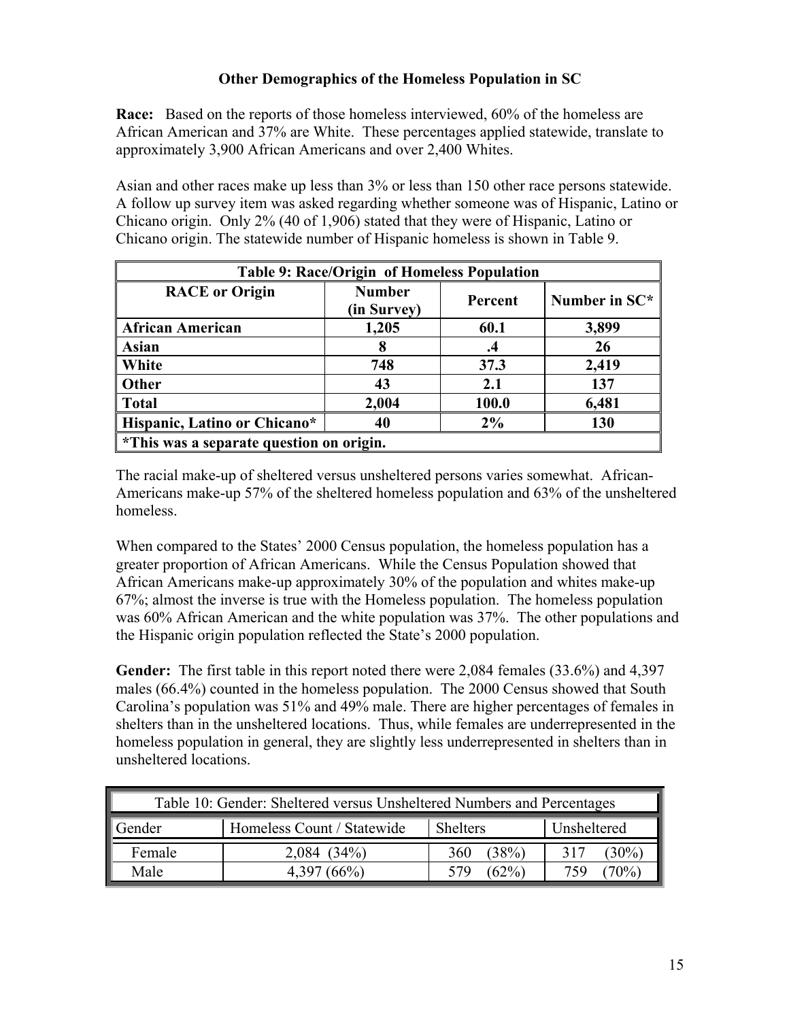## **Other Demographics of the Homeless Population in SC**

**Race:** Based on the reports of those homeless interviewed, 60% of the homeless are African American and 37% are White. These percentages applied statewide, translate to approximately 3,900 African Americans and over 2,400 Whites.

Asian and other races make up less than 3% or less than 150 other race persons statewide. A follow up survey item was asked regarding whether someone was of Hispanic, Latino or Chicano origin. Only 2% (40 of 1,906) stated that they were of Hispanic, Latino or Chicano origin. The statewide number of Hispanic homeless is shown in Table 9.

| Table 9: Race/Origin of Homeless Population          |               |         |               |
|------------------------------------------------------|---------------|---------|---------------|
| <b>RACE</b> or Origin                                | <b>Number</b> | Percent | Number in SC* |
|                                                      | (in Survey)   |         |               |
| <b>African American</b>                              | 1,205         | 60.1    | 3,899         |
| <b>Asian</b>                                         | 8             | $\cdot$ | 26            |
| <b>White</b>                                         | 748           | 37.3    | 2,419         |
| <b>Other</b>                                         | 43            | 2.1     | 137           |
| <b>Total</b>                                         | 2,004         | 100.0   | 6,481         |
| Hispanic, Latino or Chicano*                         | 40            | $2\%$   | 130           |
| <sup>*</sup> This was a separate question on origin. |               |         |               |

The racial make-up of sheltered versus unsheltered persons varies somewhat. African-Americans make-up 57% of the sheltered homeless population and 63% of the unsheltered homeless.

When compared to the States' 2000 Census population, the homeless population has a greater proportion of African Americans. While the Census Population showed that African Americans make-up approximately 30% of the population and whites make-up 67%; almost the inverse is true with the Homeless population. The homeless population was 60% African American and the white population was 37%. The other populations and the Hispanic origin population reflected the State's 2000 population.

**Gender:** The first table in this report noted there were 2,084 females (33.6%) and 4,397 males (66.4%) counted in the homeless population. The 2000 Census showed that South Carolina's population was 51% and 49% male. There are higher percentages of females in shelters than in the unsheltered locations. Thus, while females are underrepresented in the homeless population in general, they are slightly less underrepresented in shelters than in unsheltered locations.

| Table 10: Gender: Sheltered versus Unsheltered Numbers and Percentages |                   |              |               |  |
|------------------------------------------------------------------------|-------------------|--------------|---------------|--|
| Homeless Count / Statewide<br><b>Shelters</b><br>Unsheltered<br>Gender |                   |              |               |  |
| Female                                                                 | $(34\%)$<br>2.084 | (38%)<br>360 | $30\%$<br>317 |  |
| Male<br>$\gamma_{\rm o}$<br>$(62\%)$<br>$(66\%)$<br>579                |                   |              |               |  |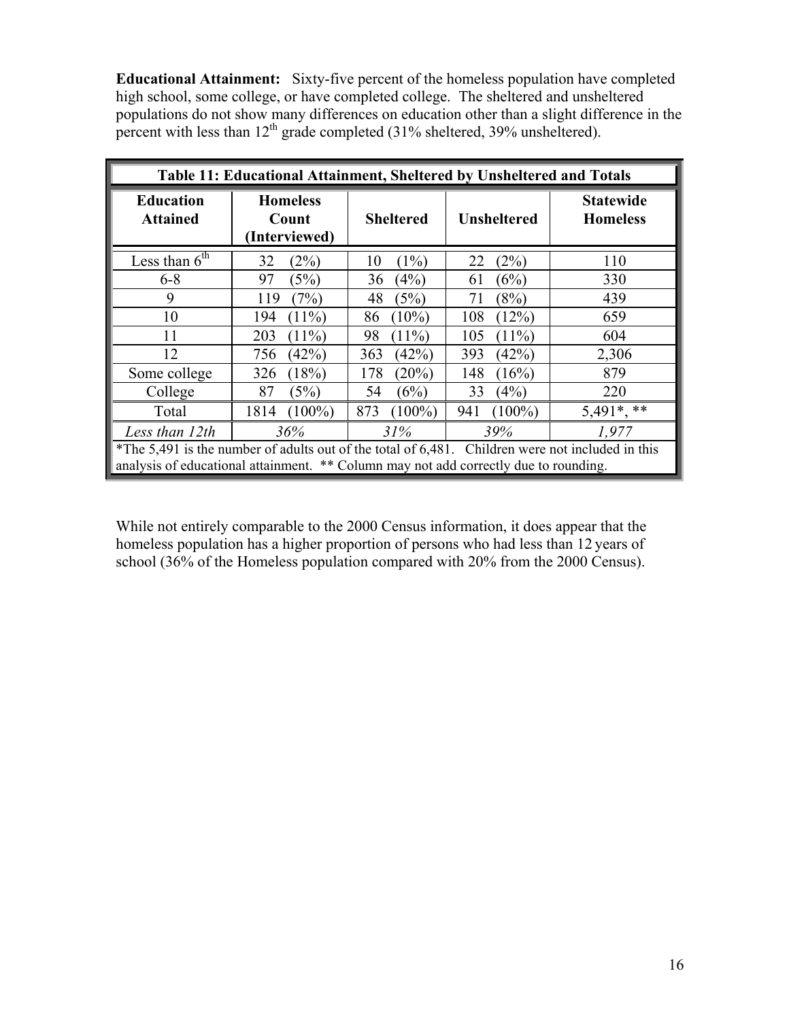**Educational Attainment:** Sixty-five percent of the homeless population have completed high school, some college, or have completed college. The sheltered and unsheltered populations do not show many differences on education other than a slight difference in the percent with less than  $12^{th}$  grade completed (31% sheltered, 39% unsheltered).

| Table 11: Educational Attainment, Sheltered by Unsheltered and Totals                                                                                                                    |                                           |                  |                    |                                     |
|------------------------------------------------------------------------------------------------------------------------------------------------------------------------------------------|-------------------------------------------|------------------|--------------------|-------------------------------------|
| <b>Education</b><br><b>Attained</b>                                                                                                                                                      | <b>Homeless</b><br>Count<br>(Interviewed) | <b>Sheltered</b> | <b>Unsheltered</b> | <b>Statewide</b><br><b>Homeless</b> |
| Less than $6th$                                                                                                                                                                          | 32<br>(2%)                                | (1%)<br>10       | (2%)<br>22         | 110                                 |
| $6 - 8$                                                                                                                                                                                  | (5%)<br>97                                | (4%)<br>36       | (6%)<br>61         | 330                                 |
| 9                                                                                                                                                                                        | (7%)<br>119                               | 48<br>(5%)       | (8%)<br>71         | 439                                 |
| 10                                                                                                                                                                                       | $(11\%)$<br>194                           | $(10\%)$<br>86   | (12%)<br>108       | 659                                 |
| 11                                                                                                                                                                                       | $(11\%)$<br>203                           | $(11\%)$<br>98   | 105<br>$(11\%)$    | 604                                 |
| 12                                                                                                                                                                                       | (42%)<br>756                              | (42%)<br>363     | 393<br>(42%)       | 2,306                               |
| Some college                                                                                                                                                                             | (18%)<br>326                              | $(20\%)$<br>178  | (16%)<br>148       | 879                                 |
| College                                                                                                                                                                                  | 87<br>(5%)                                | (6%)<br>54       | (4%)<br>33         | 220                                 |
| Total                                                                                                                                                                                    | $(100\%)$<br>1814                         | 873<br>$(100\%)$ | 941<br>$(100\%)$   | $5,491^*,$ **                       |
| Less than 12th                                                                                                                                                                           | 36%                                       | 31%              | 39%                | 1,977                               |
| *The 5,491 is the number of adults out of the total of 6,481. Children were not included in this<br>analysis of educational attainment. ** Column may not add correctly due to rounding. |                                           |                  |                    |                                     |

While not entirely comparable to the 2000 Census information, it does appear that the homeless population has a higher proportion of persons who had less than 12 years of school (36% of the Homeless population compared with 20% from the 2000 Census).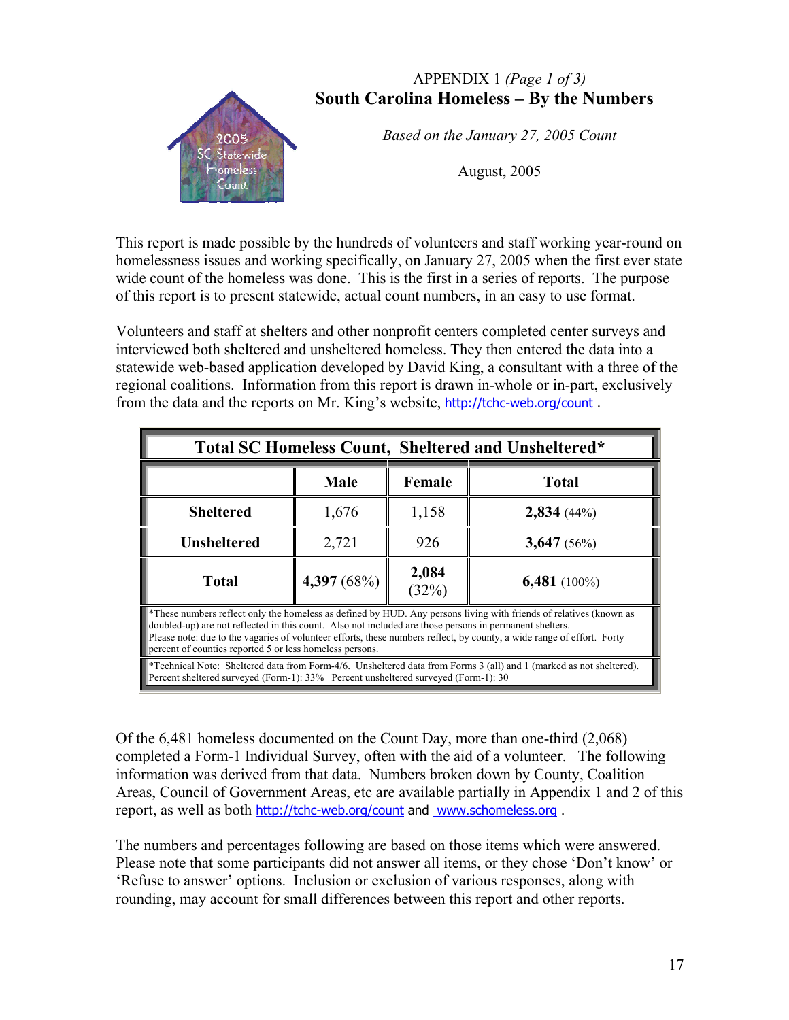## APPENDIX 1 *(Page 1 of 3)* **South Carolina Homeless – By the Numbers**



*Based on the January 27, 2005 Count* 

This report is made possible by the hundreds of volunteers and staff working year-round on homelessness issues and working specifically, on January 27, 2005 when the first ever state wide count of the homeless was done. This is the first in a series of reports. The purpose of this report is to present statewide, actual count numbers, in an easy to use format.

Volunteers and staff at shelters and other nonprofit centers completed center surveys and interviewed both sheltered and unsheltered homeless. They then entered the data into a statewide web-based application developed by David King, a consultant with a three of the regional coalitions. Information from this report is drawn in-whole or in-part, exclusively from the data and the reports on Mr. King's website, http://tchc-web.org/count.

| <b>Total SC Homeless Count, Sheltered and Unsheltered*</b>                         |                                                                                                                                                                                                                                                                                                                                                                                                                     |                |                                                                                                                            |  |  |  |  |  |  |  |
|------------------------------------------------------------------------------------|---------------------------------------------------------------------------------------------------------------------------------------------------------------------------------------------------------------------------------------------------------------------------------------------------------------------------------------------------------------------------------------------------------------------|----------------|----------------------------------------------------------------------------------------------------------------------------|--|--|--|--|--|--|--|
| <b>Total</b><br><b>Male</b><br>Female                                              |                                                                                                                                                                                                                                                                                                                                                                                                                     |                |                                                                                                                            |  |  |  |  |  |  |  |
| <b>Sheltered</b>                                                                   | 1,676                                                                                                                                                                                                                                                                                                                                                                                                               | 1,158          | 2,834(44%)                                                                                                                 |  |  |  |  |  |  |  |
| <b>Unsheltered</b>                                                                 | 2,721                                                                                                                                                                                                                                                                                                                                                                                                               | 926            | 3,647(56%)                                                                                                                 |  |  |  |  |  |  |  |
| <b>Total</b>                                                                       | 4,397(68%)                                                                                                                                                                                                                                                                                                                                                                                                          | 2,084<br>(32%) | $6,481(100\%)$                                                                                                             |  |  |  |  |  |  |  |
|                                                                                    | *These numbers reflect only the homeless as defined by HUD. Any persons living with friends of relatives (known as<br>doubled-up) are not reflected in this count. Also not included are those persons in permanent shelters.<br>Please note: due to the vagaries of volunteer efforts, these numbers reflect, by county, a wide range of effort. Forty<br>percent of counties reported 5 or less homeless persons. |                |                                                                                                                            |  |  |  |  |  |  |  |
| Percent sheltered surveyed (Form-1): 33% Percent unsheltered surveyed (Form-1): 30 |                                                                                                                                                                                                                                                                                                                                                                                                                     |                | <b>*Technical Note:</b> Sheltered data from Form-4/6. Unsheltered data from Forms 3 (all) and 1 (marked as not sheltered). |  |  |  |  |  |  |  |

Of the 6,481 homeless documented on the Count Day, more than one-third (2,068) completed a Form-1 Individual Survey, often with the aid of a volunteer. The following information was derived from that data. Numbers broken down by County, Coalition Areas, Council of Government Areas, etc are available partially in Appendix 1 and 2 of this report, as well as both http://tchc-web.org/count and www.schomeless.org.

The numbers and percentages following are based on those items which were answered. Please note that some participants did not answer all items, or they chose 'Don't know' or 'Refuse to answer' options. Inclusion or exclusion of various responses, along with rounding, may account for small differences between this report and other reports.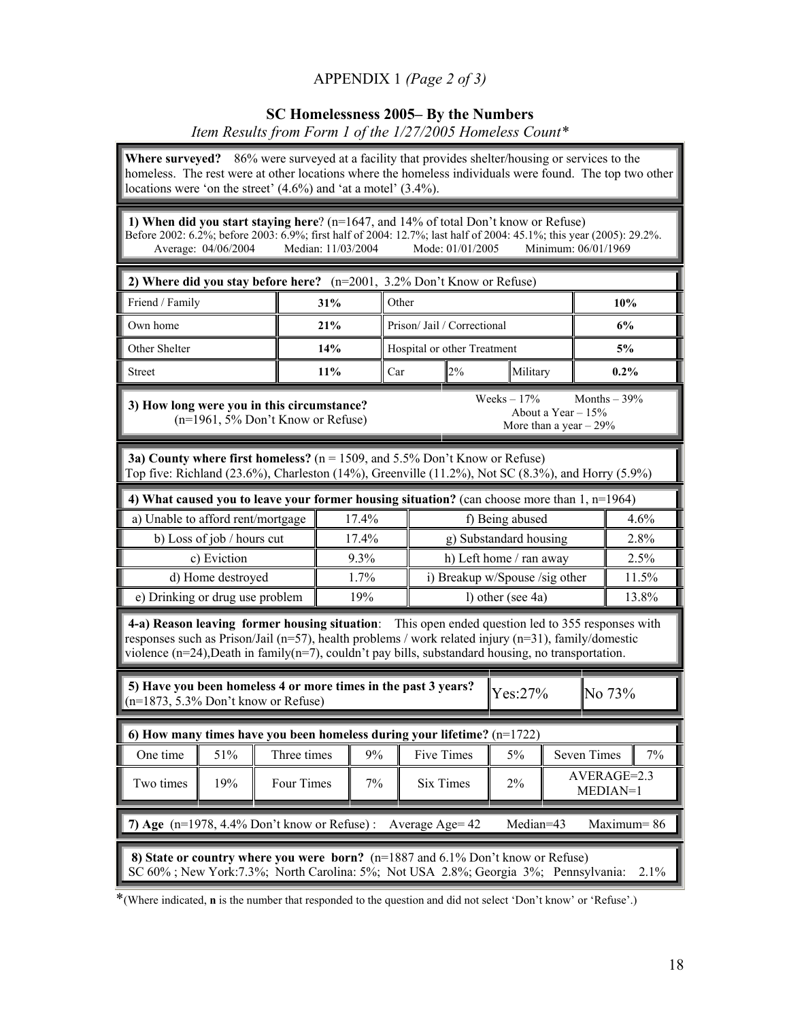## APPENDIX 1 *(Page 2 of 3)*

### **SC Homelessness 2005– By the Numbers**  *Item Results from Form 1 of the 1/27/2005 Homeless Count\**

**Where surveyed?** 86% were surveyed at a facility that provides shelter/housing or services to the homeless. The rest were at other locations where the homeless individuals were found. The top two other locations were 'on the street'  $(4.6\%)$  and 'at a motel'  $(3.4\%)$ .

**1) When did you start staying here**? (n=1647, and 14% of total Don't know or Refuse) Before 2002: 6.2%; before 2003: 6.9%; first half of 2004: 12.7%; last half of 2004: 45.1%; this year (2005): 29.2%.<br>Average: 04/06/2004 Median: 11/03/2004 Mode: 01/01/2005 Minimum: 06/01/1969 Average: 04/06/2004

| 2) Where did you stay before here? $(n=2001, 3.2\%$ Don't Know or Refuse) |                     |                                    |    |          |         |  |  |  |  |
|---------------------------------------------------------------------------|---------------------|------------------------------------|----|----------|---------|--|--|--|--|
| Friend / Family                                                           | 31%<br><b>Other</b> | 10%                                |    |          |         |  |  |  |  |
| Own home                                                                  | 21%                 | Prison/Jail / Correctional         |    | 6%       |         |  |  |  |  |
| Other Shelter                                                             | 14%                 | <b>Hospital or other Treatment</b> |    |          | 5%      |  |  |  |  |
| <b>Street</b>                                                             | $11\%$              | Car                                | 2% | Military | $0.2\%$ |  |  |  |  |

**3) How long were you in this circumstance?**  (n=1961, 5% Don't Know or Refuse) Weeks –  $17\%$  Months –  $39\%$ About a Year  $-15%$ More than a year  $-29%$ 

**3a) County where first homeless?** (n = 1509, and 5.5% Don't Know or Refuse) Top five: Richland (23.6%), Charleston (14%), Greenville (11.2%), Not SC (8.3%), and Horry (5.9%)

| 4) What caused you to leave your former housing situation? (can choose more than $1, n=1964$ ) |          |                                |       |  |  |  |  |  |  |
|------------------------------------------------------------------------------------------------|----------|--------------------------------|-------|--|--|--|--|--|--|
| a) Unable to afford rent/mortgage                                                              | $17.4\%$ | f) Being abused                | 4.6%  |  |  |  |  |  |  |
| b) Loss of job / hours cut                                                                     | $17.4\%$ | g) Substandard housing         | 2.8%  |  |  |  |  |  |  |
| c) Eviction                                                                                    | $9.3\%$  | h) Left home / ran away        | 2.5%  |  |  |  |  |  |  |
| d) Home destroyed                                                                              | $1.7\%$  | i) Breakup w/Spouse /sig other | 11.5% |  |  |  |  |  |  |
| e) Drinking or drug use problem                                                                | 19%      | l) other (see $4a$ )           | 13.8% |  |  |  |  |  |  |

 **4-a) Reason leaving former housing situation**: This open ended question led to 355 responses with responses such as Prison/Jail (n=57), health problems / work related injury (n=31), family/domestic violence (n=24),Death in family(n=7), couldn't pay bills, substandard housing, no transportation.

 **5) Have you been homeless 4 or more times in the past 3 years?**   $(10^{-1873}, 5.3\% \text{ Don't know or Refuse})$  No 73%

| 6) How many times have you been homeless during your lifetime? $(n=1722)$ |                                                                                 |                                                                |    |            |           |                    |       |  |  |  |  |
|---------------------------------------------------------------------------|---------------------------------------------------------------------------------|----------------------------------------------------------------|----|------------|-----------|--------------------|-------|--|--|--|--|
| One time                                                                  | 51%                                                                             | Three times                                                    | 9% | Five Times | $5\%$     | <b>Seven Times</b> | $7\%$ |  |  |  |  |
| Two times                                                                 | $AVERAGE=2.3$<br>$2\%$<br>$7\%$<br>19%<br>Four Times<br>Six Times<br>$MEDIAN=1$ |                                                                |    |            |           |                    |       |  |  |  |  |
|                                                                           |                                                                                 |                                                                |    |            |           |                    |       |  |  |  |  |
|                                                                           |                                                                                 | 7) Age $(n=1978, 4.4\%$ Don't know or Refuse): Average Age= 42 |    |            | Median=43 | $Maximum = 86$     |       |  |  |  |  |

\*(Where indicated, **n** is the number that responded to the question and did not select 'Don't know' or 'Refuse'.)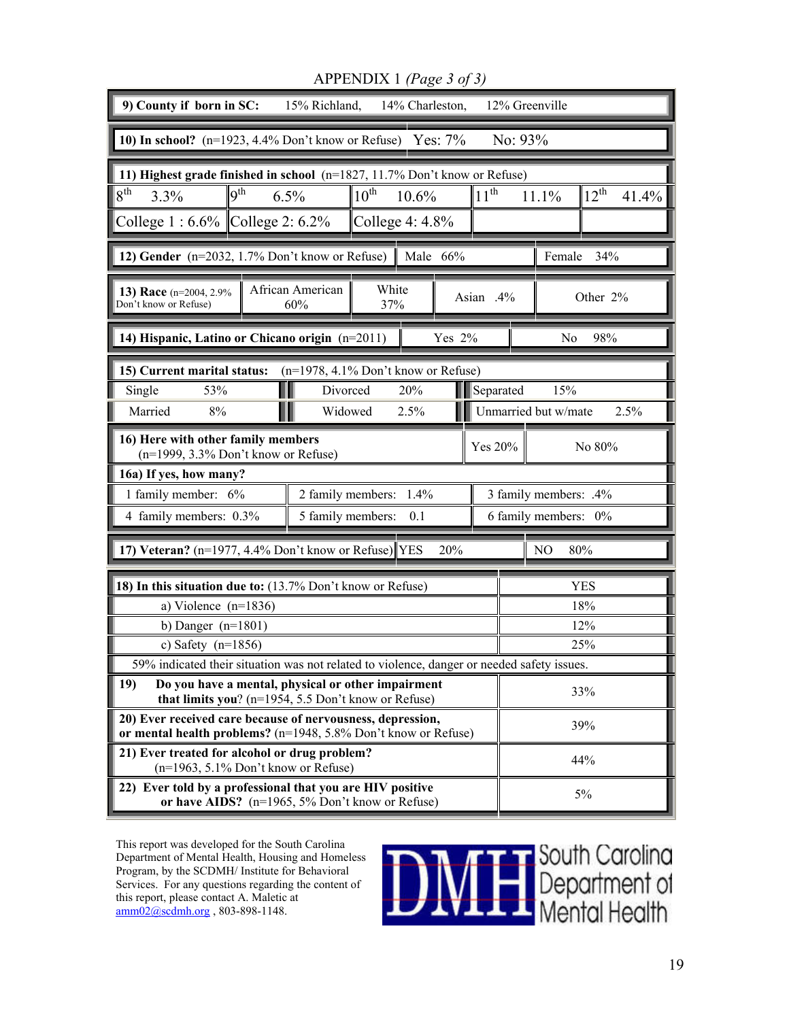| 9) County if born in SC:<br>12% Greenville<br>15% Richland,<br>14% Charleston,                                                              |                                                                                                                                                              |              |      |        |                      |                       |                       |            |  |  |
|---------------------------------------------------------------------------------------------------------------------------------------------|--------------------------------------------------------------------------------------------------------------------------------------------------------------|--------------|------|--------|----------------------|-----------------------|-----------------------|------------|--|--|
| 10) In school? $(n=1923, 4.4\%$ Don't know or Refuse) Yes: $7\%$<br>No: $93%$                                                               |                                                                                                                                                              |              |      |        |                      |                       |                       |            |  |  |
| 11) Highest grade finished in school $(n=1827, 11.7\%$ Don't know or Refuse)                                                                |                                                                                                                                                              |              |      |        |                      |                       |                       |            |  |  |
| 8 <sup>th</sup><br>$\mathbf{Q}^{\text{th}}$<br>$10^{th}$<br>11 <sup>th</sup><br>$12^{\text{th}}$<br>6.5%<br>10.6%<br>11.1%<br>41.4%<br>3.3% |                                                                                                                                                              |              |      |        |                      |                       |                       |            |  |  |
| College $1:6.6\%$ College 2: 6.2%<br>College $4:4.8\%$                                                                                      |                                                                                                                                                              |              |      |        |                      |                       |                       |            |  |  |
| 12) Gender (n=2032, 1.7% Don't know or Refuse)<br>Female<br>34%<br>Male 66%                                                                 |                                                                                                                                                              |              |      |        |                      |                       |                       |            |  |  |
| 13) Race (n=2004, 2.9%<br>Don't know or Refuse)                                                                                             | African American<br>60%                                                                                                                                      | White<br>37% |      |        | Asian .4%            |                       |                       | Other 2%   |  |  |
| 14) Hispanic, Latino or Chicano origin (n=2011)                                                                                             |                                                                                                                                                              |              |      | Yes 2% |                      |                       | No                    | 98%        |  |  |
| 15) Current marital status:                                                                                                                 | $(n=1978, 4.1\%$ Don't know or Refuse)                                                                                                                       |              |      |        |                      |                       |                       |            |  |  |
| Single<br>53%                                                                                                                               | Divorced                                                                                                                                                     |              | 20%  |        | Separated            |                       | 15%                   |            |  |  |
| Married<br>8%                                                                                                                               | Widowed                                                                                                                                                      |              | 2.5% |        | Unmarried but w/mate |                       |                       | 2.5%       |  |  |
| 16) Here with other family members<br>(n=1999, 3.3% Don't know or Refuse)                                                                   |                                                                                                                                                              |              |      |        | Yes 20%              |                       |                       | No 80%     |  |  |
| 16a) If yes, how many?                                                                                                                      |                                                                                                                                                              |              |      |        |                      |                       |                       |            |  |  |
| 1 family member: 6%                                                                                                                         | 2 family members: 1.4%                                                                                                                                       |              |      |        |                      | 3 family members: .4% |                       |            |  |  |
| 4 family members: 0.3%                                                                                                                      | 5 family members:                                                                                                                                            |              | 0.1  |        |                      |                       | 6 family members: 0%  |            |  |  |
| 7) Veteran? (n=1977, 4.4% Don't know or Refuse) $\parallel$ YES                                                                             |                                                                                                                                                              |              |      | 20%    |                      |                       | N <sub>O</sub><br>80% |            |  |  |
| 18) In this situation due to: (13.7% Don't know or Refuse)                                                                                  |                                                                                                                                                              |              |      |        |                      |                       |                       | <b>YES</b> |  |  |
| a) Violence $(n=1836)$                                                                                                                      |                                                                                                                                                              |              |      |        |                      |                       |                       | 18%        |  |  |
| b) Danger $(n=1801)$                                                                                                                        |                                                                                                                                                              |              |      |        |                      |                       |                       | 12%        |  |  |
| c) Safety $(n=1856)$                                                                                                                        |                                                                                                                                                              |              |      |        |                      |                       |                       | 25%        |  |  |
| 59% indicated their situation was not related to violence danger or needed safety issues                                                    |                                                                                                                                                              |              |      |        |                      |                       |                       |            |  |  |
| Do you have a mental, physical or other impairment<br>19)<br>that limits you? $(n=1954, 5.5$ Don't know or Refuse)                          |                                                                                                                                                              |              |      |        |                      |                       |                       | 33%        |  |  |
| 20) Ever received care because of nervousness, depression,<br>or mental health problems? (n=1948, 5.8% Don't know or Refuse)                |                                                                                                                                                              |              |      |        |                      |                       |                       | 39%        |  |  |
| 21) Ever treated for alcohol or drug problem?                                                                                               |                                                                                                                                                              |              |      |        |                      |                       |                       | 44%        |  |  |
|                                                                                                                                             | $(n=1963, 5.1\%$ Don't know or Refuse)<br>22) Ever told by a professional that you are HIV positive<br>5%<br>or have AIDS? (n=1965, 5% Don't know or Refuse) |              |      |        |                      |                       |                       |            |  |  |

APPENDIX 1 *(Page 3 of 3)*

This report was developed for the South Carolina Department of Mental Health, Housing and Homeless Program, by the SCDMH/ Institute for Behavioral Services. For any questions regarding the content of this report, please contact A. Maletic at  $\frac{\text{amm02}(a)\text{schm} \cdot \text{pr}}{a \text{mm02}(a)\text{schm} \cdot \text{pr}}$ , 803-898-1148.

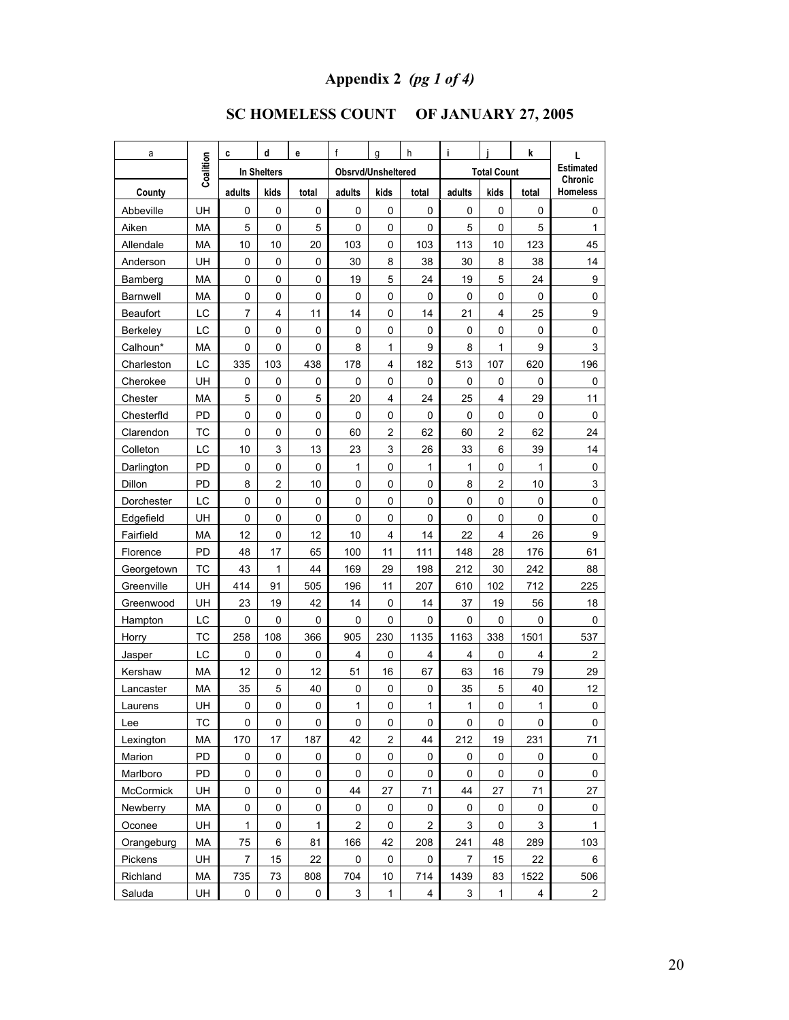# **Appendix 2** *(pg 1 of 4)*

# **SC HOMELESS COUNT OF JANUARY 27, 2005**

| a               |           | C           | d                | е     | f                  | g                       | h            | j         |                    | k           | L                          |
|-----------------|-----------|-------------|------------------|-------|--------------------|-------------------------|--------------|-----------|--------------------|-------------|----------------------------|
|                 | Coalition | In Shelters |                  |       | Obsrvd/Unsheltered |                         |              |           | <b>Total Count</b> |             | <b>Estimated</b>           |
| County          |           | adults      | kids             | total | adults             | kids                    | total        | adults    | kids               | total       | Chronic<br><b>Homeless</b> |
| Abbeville       | UH        | 0           | 0                | 0     | 0                  | 0                       | 0            | 0         | 0                  | 0           | 0                          |
| Aiken           | MA        | 5           | $\pmb{0}$        | 5     | $\pmb{0}$          | 0                       | 0            | 5         | 0                  | 5           | 1                          |
| Allendale       | <b>MA</b> | 10          | 10               | 20    | 103                | 0                       | 103          | 113       | 10                 | 123         | 45                         |
| Anderson        | UH        | 0           | 0                | 0     | 30                 | 8                       | 38           | 30        | 8                  | 38          | 14                         |
| Bamberg         | МA        | 0           | $\pmb{0}$        | 0     | 19                 | 5                       | 24           | 19        | 5                  | 24          | 9                          |
| <b>Barnwell</b> | MA        | 0           | 0                | 0     | 0                  | 0                       | 0            | $\pmb{0}$ | 0                  | 0           | 0                          |
| Beaufort        | LC        | 7           | $\overline{4}$   | 11    | 14                 | 0                       | 14           | 21        | 4                  | 25          | 9                          |
| <b>Berkeley</b> | LC        | 0           | 0                | 0     | 0                  | 0                       | 0            | 0         | 0                  | 0           | 0                          |
| Calhoun*        | MA        | 0           | 0                | 0     | 8                  | $\mathbf{1}$            | 9            | 8         | $\mathbf{1}$       | 9           | 3                          |
| Charleston      | LC        | 335         | 103              | 438   | 178                | 4                       | 182          | 513       | 107                | 620         | 196                        |
| Cherokee        | UH        | 0           | 0                | 0     | 0                  | 0                       | 0            | 0         | 0                  | 0           | 0                          |
| Chester         | MA        | 5           | $\pmb{0}$        | 5     | 20                 | 4                       | 24           | 25        | 4                  | 29          | 11                         |
| Chesterfld      | PD        | 0           | 0                | 0     | 0                  | 0                       | 0            | 0         | 0                  | 0           | 0                          |
| Clarendon       | <b>TC</b> | 0           | 0                | 0     | 60                 | $\overline{\mathbf{c}}$ | 62           | 60        | $\overline{c}$     | 62          | 24                         |
| Colleton        | LC        | 10          | 3                | 13    | 23                 | 3                       | 26           | 33        | 6                  | 39          | 14                         |
| Darlington      | <b>PD</b> | 0           | 0                | 0     | 1                  | 0                       | $\mathbf{1}$ | 1         | 0                  | 1           | $\mathsf 0$                |
| Dillon          | PD        | 8           | $\boldsymbol{2}$ | 10    | 0                  | 0                       | 0            | 8         | $\overline{c}$     | 10          | 3                          |
| Dorchester      | LC        | 0           | 0                | 0     | 0                  | 0                       | 0            | 0         | 0                  | 0           | $\mathbf 0$                |
| Edgefield       | UH        | 0           | $\pmb{0}$        | 0     | $\pmb{0}$          | 0                       | 0            | 0         | 0                  | 0           | $\pmb{0}$                  |
| Fairfield       | MA        | 12          | 0                | 12    | 10                 | 4                       | 14           | 22        | 4                  | 26          | $\boldsymbol{9}$           |
| Florence        | PD        | 48          | 17               | 65    | 100                | 11                      | 111          | 148       | 28                 | 176         | 61                         |
| Georgetown      | ТC        | 43          | 1                | 44    | 169                | 29                      | 198          | 212       | 30                 | 242         | 88                         |
| Greenville      | UH        | 414         | 91               | 505   | 196                | 11                      | 207          | 610       | 102                | 712         | 225                        |
| Greenwood       | UH        | 23          | 19               | 42    | 14                 | 0                       | 14           | 37        | 19                 | 56          | 18                         |
| Hampton         | LC        | 0           | 0                | 0     | 0                  | 0                       | 0            | 0         | 0                  | $\mathbf 0$ | 0                          |
| Horry           | <b>TC</b> | 258         | 108              | 366   | 905                | 230                     | 1135         | 1163      | 338                | 1501        | 537                        |
| Jasper          | LC        | $\pmb{0}$   | 0                | 0     | 4                  | 0                       | 4            | 4         | 0                  | 4           | $\overline{2}$             |
| Kershaw         | MA        | 12          | 0                | 12    | 51                 | 16                      | 67           | 63        | 16                 | 79          | 29                         |
| Lancaster       | МA        | 35          | 5                | 40    | 0                  | 0                       | 0            | 35        | 5                  | 40          | 12                         |
| Laurens         | UH        | 0           | 0                | 0     | 1                  | 0                       | $\mathbf{1}$ | 1         | 0                  | 1           | 0                          |
| Lee             | TC        | 0           | 0                | 0     | 0                  | 0                       | 0            | 0         | 0                  | $\pmb{0}$   | 0                          |
| Lexington       | MA        | 170         | 17               | 187   | 42                 | $\overline{c}$          | 44           | 212       | 19                 | 231         | 71                         |
| Marion          | PD        | 0           | 0                | 0     | $\mathbf 0$        | 0                       | 0            | 0         | 0                  | 0           | 0                          |
| Marlboro        | PD        | 0           | 0                | 0     | 0                  | 0                       | 0            | 0         | 0                  | 0           | 0                          |
| McCormick       | UH        | 0           | 0                | 0     | 44                 | 27                      | 71           | 44        | 27                 | 71          | 27                         |
| Newberry        | MA        | 0           | 0                | 0     | $\pmb{0}$          | 0                       | 0            | 0         | 0                  | 0           | 0                          |
| Oconee          | UH        | 1           | 0                | 1     | $\overline{c}$     | 0                       | 2            | 3         | 0                  | 3           | $\mathbf{1}$               |
| Orangeburg      | MA        | 75          | 6                | 81    | 166                | 42                      | 208          | 241       | 48                 | 289         | 103                        |
| Pickens         | UH        | 7           | 15               | 22    | 0                  | 0                       | 0            | 7         | 15                 | 22          | 6                          |
| Richland        | МA        | 735         | 73               | 808   | 704                | 10                      | 714          | 1439      | 83                 | 1522        | 506                        |
| Saluda          | UH        | 0           | 0                | 0     | 3                  | $\mathbf{1}$            | 4            | 3         | 1                  | 4           | $\mathbf{2}$               |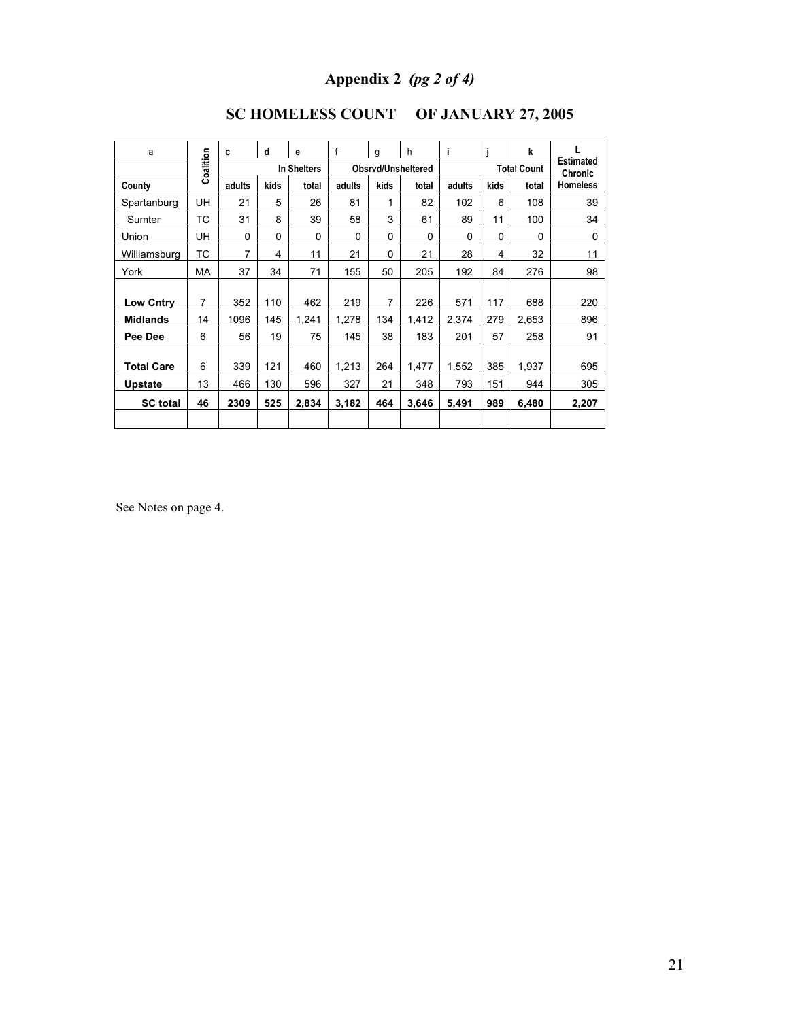# **Appendix 2** *(pg 2 of 4)*

| a                 |           | c      | d        | e           | f      | q    | h                  | i.                 |      | k        |                             |
|-------------------|-----------|--------|----------|-------------|--------|------|--------------------|--------------------|------|----------|-----------------------------|
|                   | Coalition |        |          | In Shelters |        |      | Obsrvd/Unsheltered | <b>Total Count</b> |      |          | <b>Estimated</b><br>Chronic |
| County            |           | adults | kids     | total       | adults | kids | total              | adults             | kids | total    | <b>Homeless</b>             |
| Spartanburg       | UH        | 21     | 5        | 26          | 81     | 1    | 82                 | 102                | 6    | 108      | 39                          |
| Sumter            | ТC        | 31     | 8        | 39          | 58     | 3    | 61                 | 89                 | 11   | 100      | 34                          |
| Union             | UH        | 0      | $\Omega$ | 0           | 0      | 0    | 0                  | 0                  | 0    | $\Omega$ | $\Omega$                    |
| Williamsburg      | ТC        | 7      | 4        | 11          | 21     | 0    | 21                 | 28                 | 4    | 32       | 11                          |
| York              | MA        | 37     | 34       | 71          | 155    | 50   | 205                | 192                | 84   | 276      | 98                          |
|                   |           |        |          |             |        |      |                    |                    |      |          |                             |
| <b>Low Cntry</b>  | 7         | 352    | 110      | 462         | 219    | 7    | 226                | 571                | 117  | 688      | 220                         |
| <b>Midlands</b>   | 14        | 1096   | 145      | 1,241       | 1,278  | 134  | 1,412              | 2,374              | 279  | 2,653    | 896                         |
| Pee Dee           | 6         | 56     | 19       | 75          | 145    | 38   | 183                | 201                | 57   | 258      | 91                          |
| <b>Total Care</b> | 6         | 339    | 121      | 460         | 1,213  | 264  | 1,477              | 1,552              | 385  | 1,937    | 695                         |
| <b>Upstate</b>    | 13        | 466    | 130      | 596         | 327    | 21   | 348                | 793                | 151  | 944      | 305                         |
| <b>SC</b> total   | 46        | 2309   | 525      | 2,834       | 3,182  | 464  | 3,646              | 5,491              | 989  | 6,480    | 2,207                       |
|                   |           |        |          |             |        |      |                    |                    |      |          |                             |

## **SC HOMELESS COUNT OF JANUARY 27, 2005**

See Notes on page 4.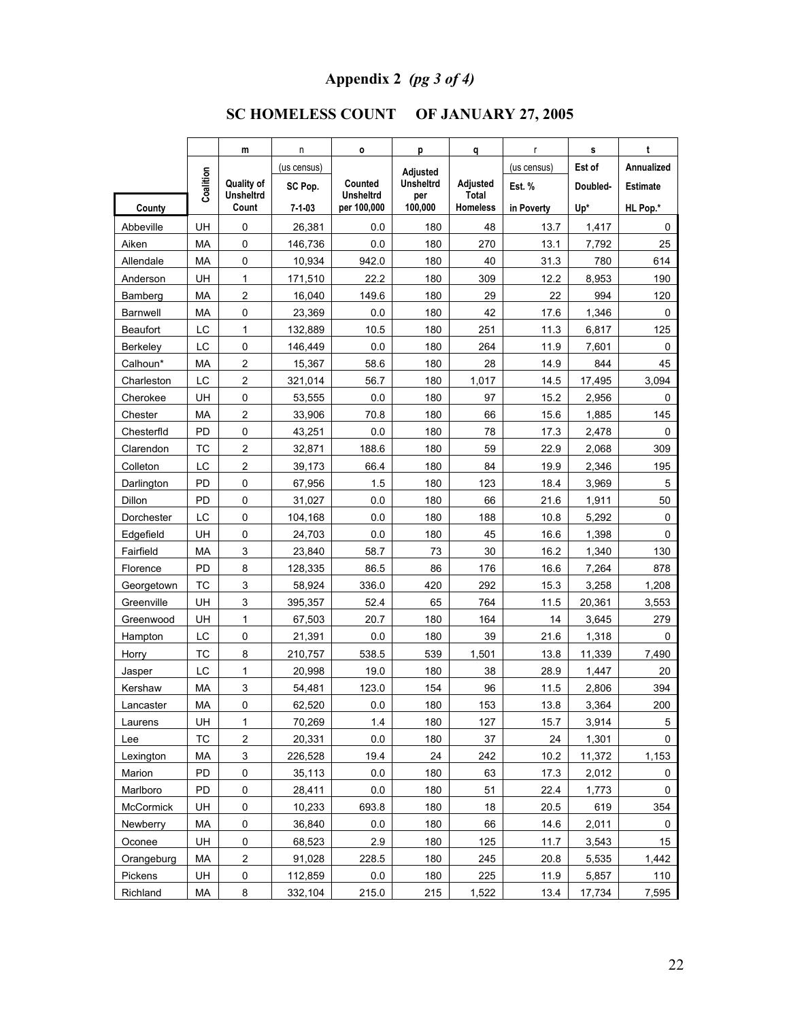# **Appendix 2** *(pg 3 of 4)*

# **SC HOMELESS COUNT OF JANUARY 27, 2005**

|                  |           | m                         | n           | O                               | p                | q                        | r           | s        | t               |
|------------------|-----------|---------------------------|-------------|---------------------------------|------------------|--------------------------|-------------|----------|-----------------|
|                  |           |                           | (us census) |                                 | <b>Adjusted</b>  |                          | (us census) | Est of   | Annualized      |
|                  | Coalition | <b>Quality of</b>         | SC Pop.     | Counted                         | <b>Unsheltrd</b> | Adjusted                 | Est. %      | Doubled- | <b>Estimate</b> |
| County           |           | <b>Unsheltrd</b><br>Count | 7-1-03      | <b>Unsheltrd</b><br>per 100,000 | per<br>100,000   | Total<br><b>Homeless</b> | in Poverty  | Up*      | HL Pop.*        |
| Abbeville        | UH        | 0                         | 26,381      | 0.0                             | 180              | 48                       | 13.7        | 1,417    | 0               |
| Aiken            | MA        | 0                         | 146,736     | 0.0                             | 180              | 270                      | 13.1        | 7,792    | 25              |
| Allendale        | MA        | 0                         | 10,934      | 942.0                           | 180              | 40                       | 31.3        | 780      | 614             |
| Anderson         | UH        | 1                         | 171,510     | 22.2                            | 180              | 309                      | 12.2        | 8,953    | 190             |
| Bamberg          | MA        | $\overline{c}$            | 16,040      | 149.6                           | 180              | 29                       | 22          | 994      | 120             |
| <b>Barnwell</b>  | MA        | 0                         | 23,369      | 0.0                             | 180              | 42                       | 17.6        | 1,346    | 0               |
| <b>Beaufort</b>  | LC        | 1                         | 132,889     | 10.5                            | 180              | 251                      | 11.3        | 6,817    | 125             |
| Berkeley         | LC        | 0                         | 146,449     | 0.0                             | 180              | 264                      | 11.9        | 7,601    | 0               |
| Calhoun*         | MA        | $\overline{2}$            | 15,367      | 58.6                            | 180              | 28                       | 14.9        | 844      | 45              |
| Charleston       | LC        | $\overline{\mathbf{c}}$   | 321,014     | 56.7                            | 180              | 1,017                    | 14.5        | 17,495   | 3,094           |
| Cherokee         | UH        | 0                         | 53,555      | 0.0                             | 180              | 97                       | 15.2        | 2,956    | 0               |
| Chester          | MA        | 2                         | 33,906      | 70.8                            | 180              | 66                       | 15.6        | 1,885    | 145             |
| Chesterfid       | PD        | 0                         | 43,251      | 0.0                             | 180              | 78                       | 17.3        | 2,478    | 0               |
| Clarendon        | <b>TC</b> | $\overline{c}$            | 32,871      | 188.6                           | 180              | 59                       | 22.9        | 2,068    | 309             |
| Colleton         | LC        | $\overline{c}$            | 39,173      | 66.4                            | 180              | 84                       | 19.9        | 2,346    | 195             |
| Darlington       | <b>PD</b> | 0                         | 67,956      | 1.5                             | 180              | 123                      | 18.4        | 3,969    | 5               |
| Dillon           | PD        | 0                         | 31,027      | 0.0                             | 180              | 66                       | 21.6        | 1,911    | 50              |
| Dorchester       | LC        | 0                         | 104,168     | 0.0                             | 180              | 188                      | 10.8        | 5,292    | 0               |
| Edgefield        | UH        | 0                         | 24,703      | 0.0                             | 180              | 45                       | 16.6        | 1,398    | 0               |
| Fairfield        | MA        | 3                         | 23,840      | 58.7                            | 73               | 30                       | 16.2        | 1,340    | 130             |
| Florence         | <b>PD</b> | 8                         | 128,335     | 86.5                            | 86               | 176                      | 16.6        | 7,264    | 878             |
| Georgetown       | <b>TC</b> | 3                         | 58,924      | 336.0                           | 420              | 292                      | 15.3        | 3,258    | 1,208           |
| Greenville       | UH        | 3                         | 395,357     | 52.4                            | 65               | 764                      | 11.5        | 20,361   | 3,553           |
| Greenwood        | UH        | 1                         | 67,503      | 20.7                            | 180              | 164                      | 14          | 3,645    | 279             |
| Hampton          | LC        | 0                         | 21,391      | 0.0                             | 180              | 39                       | 21.6        | 1,318    | 0               |
| Horry            | <b>TC</b> | 8                         | 210,757     | 538.5                           | 539              | 1,501                    | 13.8        | 11,339   | 7,490           |
| Jasper           | LC        | $\mathbf{1}$              | 20.998      | 19.0                            | 180              | 38                       | 28.9        | 1,447    | 20              |
| Kershaw          | MA        | 3                         | 54,481      | 123.0                           | 154              | 96                       | 11.5        | 2,806    | 394             |
| Lancaster        | МA        | 0                         | 62,520      | 0.0                             | 180              | 153                      | 13.8        | 3,364    | 200             |
| Laurens          | UH        | 1                         | 70,269      | 1.4                             | 180              | 127                      | 15.7        | 3,914    | 5               |
| Lee              | TC        | 2                         | 20,331      | 0.0                             | 180              | 37                       | 24          | 1,301    | 0               |
| Lexington        | MA        | 3                         | 226,528     | 19.4                            | 24               | 242                      | 10.2        | 11,372   | 1,153           |
| Marion           | PD        | 0                         | 35,113      | 0.0                             | 180              | 63                       | 17.3        | 2,012    | 0               |
| Marlboro         | PD        | 0                         | 28,411      | 0.0                             | 180              | 51                       | 22.4        | 1,773    | 0               |
| <b>McCormick</b> | UH        | 0                         | 10,233      | 693.8                           | 180              | 18                       | 20.5        | 619      | 354             |
| Newberry         | MA        | 0                         | 36,840      | 0.0                             | 180              | 66                       | 14.6        | 2,011    | 0               |
| Oconee           | UH        | 0                         | 68,523      | 2.9                             | 180              | 125                      | 11.7        | 3,543    | 15              |
| Orangeburg       | MA        | $\overline{\mathbf{c}}$   | 91,028      | 228.5                           | 180              | 245                      | 20.8        | 5,535    | 1,442           |
| Pickens          | UH        | 0                         | 112,859     | 0.0                             | 180              | 225                      | 11.9        | 5,857    | 110             |
| Richland         | MA        | 8                         | 332,104     | 215.0                           | 215              | 1,522                    | 13.4        | 17,734   | 7,595           |